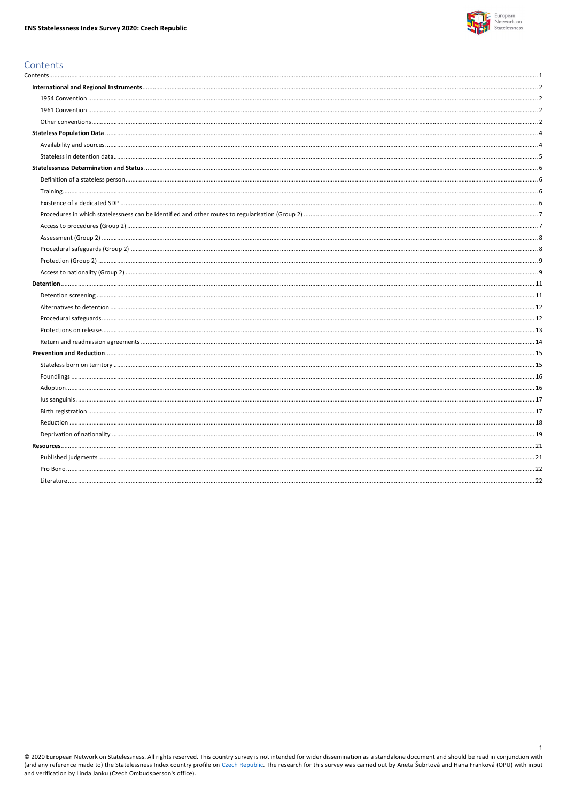

 $\mathbf{1}$ 

# <span id="page-0-0"></span>Contents

© 2020 European Network on Statelessness. All rights reserved. This country survey is not intended for wider dissemination as a standalone document and should be read in conjunction with<br>(and any reference made to) the Sta and verification by Linda Janku (Czech Ombudsperson's office).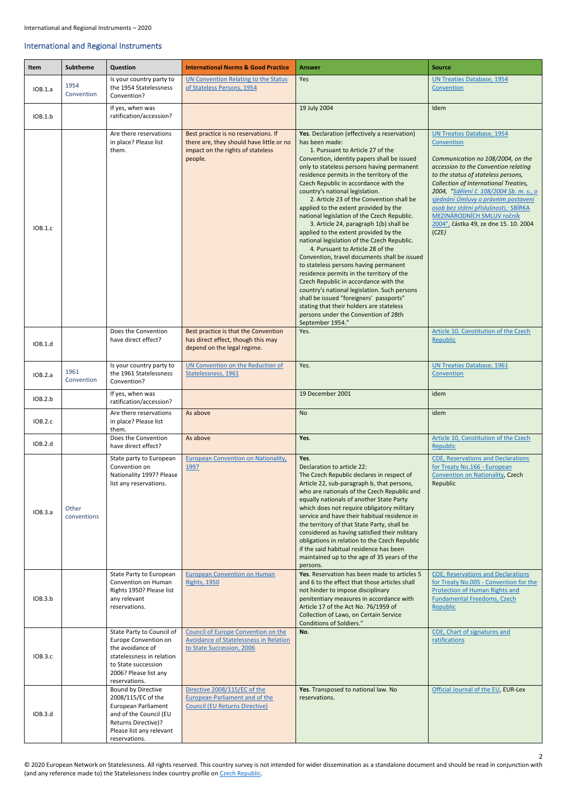2

## <span id="page-1-0"></span>International and Regional Instruments

<span id="page-1-3"></span><span id="page-1-2"></span><span id="page-1-1"></span>

| Item    | <b>Subtheme</b>      | Question                                                                                                                                                            | <b>International Norms &amp; Good Practice</b>                                                                                   | <b>Answer</b>                                                                                                                                                                                                                                                                                                                                                                                                                                                                                                                                                                                                                                                                                                                                                                                                                                                                                                                                                                                                        | <b>Source</b>                                                                                                                                                                                                                                                                                                                                                                                                           |
|---------|----------------------|---------------------------------------------------------------------------------------------------------------------------------------------------------------------|----------------------------------------------------------------------------------------------------------------------------------|----------------------------------------------------------------------------------------------------------------------------------------------------------------------------------------------------------------------------------------------------------------------------------------------------------------------------------------------------------------------------------------------------------------------------------------------------------------------------------------------------------------------------------------------------------------------------------------------------------------------------------------------------------------------------------------------------------------------------------------------------------------------------------------------------------------------------------------------------------------------------------------------------------------------------------------------------------------------------------------------------------------------|-------------------------------------------------------------------------------------------------------------------------------------------------------------------------------------------------------------------------------------------------------------------------------------------------------------------------------------------------------------------------------------------------------------------------|
| IOB.1.a | 1954<br>Convention   | Is your country party to<br>the 1954 Statelessness<br>Convention?                                                                                                   | UN Convention Relating to the Status<br>of Stateless Persons, 1954                                                               | <b>Yes</b>                                                                                                                                                                                                                                                                                                                                                                                                                                                                                                                                                                                                                                                                                                                                                                                                                                                                                                                                                                                                           | <b>UN Treaties Database, 1954</b><br>Convention                                                                                                                                                                                                                                                                                                                                                                         |
| IOB.1.b |                      | If yes, when was<br>ratification/accession?                                                                                                                         |                                                                                                                                  | 19 July 2004                                                                                                                                                                                                                                                                                                                                                                                                                                                                                                                                                                                                                                                                                                                                                                                                                                                                                                                                                                                                         | Idem                                                                                                                                                                                                                                                                                                                                                                                                                    |
| IOB.1.c |                      | Are there reservations<br>in place? Please list<br>them.                                                                                                            | Best practice is no reservations. If<br>there are, they should have little or no<br>impact on the rights of stateless<br>people. | Yes. Declaration (effectively a reservation)<br>has been made:<br>1. Pursuant to Article 27 of the<br>Convention, identity papers shall be issued<br>only to stateless persons having permanent<br>residence permits in the territory of the<br>Czech Republic in accordance with the<br>country's national legislation.<br>2. Article 23 of the Convention shall be<br>applied to the extent provided by the<br>national legislation of the Czech Republic.<br>3. Article 24, paragraph 1(b) shall be<br>applied to the extent provided by the<br>national legislation of the Czech Republic.<br>4. Pursuant to Article 28 of the<br>Convention, travel documents shall be issued<br>to stateless persons having permanent<br>residence permits in the territory of the<br>Czech Republic in accordance with the<br>country's national legislation. Such persons<br>shall be issued "foreigners' passports"<br>stating that their holders are stateless<br>persons under the Convention of 28th<br>September 1954." | <b>UN Treaties Database, 1954</b><br>Convention<br>Communication no 108/2004, on the<br>accession to the Convention relating<br>to the status of stateless persons,<br>Collection of International Treaties,<br>2004, "Sdělení č. 108/2004 Sb. m. s., o<br>sjednání Úmluvy o právním postavení<br>osob bez státní příslušnosti,: SBÍRKA<br>MEZINÁRODNÍCH SMLUV ročník<br>2004", částka 49, ze dne 15. 10. 2004<br>(CZE) |
| IOB.1.d |                      | Does the Convention<br>have direct effect?                                                                                                                          | Best practice is that the Convention<br>has direct effect, though this may<br>depend on the legal regime.                        | Yes.                                                                                                                                                                                                                                                                                                                                                                                                                                                                                                                                                                                                                                                                                                                                                                                                                                                                                                                                                                                                                 | Article 10, Constitution of the Czech<br>Republic                                                                                                                                                                                                                                                                                                                                                                       |
| IOB.2.a | 1961<br>Convention   | Is your country party to<br>the 1961 Statelessness<br>Convention?                                                                                                   | UN Convention on the Reduction of<br>Statelessness, 1961                                                                         | Yes.                                                                                                                                                                                                                                                                                                                                                                                                                                                                                                                                                                                                                                                                                                                                                                                                                                                                                                                                                                                                                 | <b>UN Treaties Database, 1961</b><br>Convention                                                                                                                                                                                                                                                                                                                                                                         |
| IOB.2.b |                      | If yes, when was<br>ratification/accession?                                                                                                                         |                                                                                                                                  | 19 December 2001                                                                                                                                                                                                                                                                                                                                                                                                                                                                                                                                                                                                                                                                                                                                                                                                                                                                                                                                                                                                     | idem                                                                                                                                                                                                                                                                                                                                                                                                                    |
| IOB.2.c |                      | Are there reservations<br>in place? Please list<br>them.                                                                                                            | As above                                                                                                                         | <b>No</b>                                                                                                                                                                                                                                                                                                                                                                                                                                                                                                                                                                                                                                                                                                                                                                                                                                                                                                                                                                                                            | idem                                                                                                                                                                                                                                                                                                                                                                                                                    |
| IOB.2.d |                      | Does the Convention<br>have direct effect?                                                                                                                          | As above                                                                                                                         | Yes.                                                                                                                                                                                                                                                                                                                                                                                                                                                                                                                                                                                                                                                                                                                                                                                                                                                                                                                                                                                                                 | Article 10, Constitution of the Czech<br>Republic                                                                                                                                                                                                                                                                                                                                                                       |
| IOB.3.a | Other<br>conventions | State party to European<br>Convention on<br>Nationality 1997? Please<br>list any reservations.                                                                      | <b>European Convention on Nationality,</b><br>1997                                                                               | Yes.<br>Declaration to article 22:<br>The Czech Republic declares in respect of<br>Article 22, sub-paragraph b, that persons,<br>who are nationals of the Czech Republic and<br>equally nationals of another State Party<br>which does not require obligatory military<br>service and have their habitual residence in<br>the territory of that State Party, shall be<br>considered as having satisfied their military<br>obligations in relation to the Czech Republic<br>if the said habitual residence has been<br>maintained up to the age of 35 years of the<br>persons.                                                                                                                                                                                                                                                                                                                                                                                                                                        | <b>COE, Reservations and Declarations</b><br>for Treaty No.166 - European<br>Convention on Nationality, Czech<br>Republic                                                                                                                                                                                                                                                                                               |
| IOB.3.b |                      | State Party to European<br>Convention on Human<br>Rights 1950? Please list<br>any relevant<br>reservations.                                                         | <b>European Convention on Human</b><br><b>Rights, 1950</b>                                                                       | Yes. Reservation has been made to articles 5<br>and 6 to the effect that those articles shall<br>not hinder to impose disciplinary<br>penitentiary measures in accordance with<br>Article 17 of the Act No. 76/1959 of<br>Collection of Laws, on Certain Service<br><b>Conditions of Soldiers."</b>                                                                                                                                                                                                                                                                                                                                                                                                                                                                                                                                                                                                                                                                                                                  | <b>COE, Reservations and Declarations</b><br>for Treaty No.005 - Convention for the<br>Protection of Human Rights and<br><b>Fundamental Freedoms, Czech</b><br>Republic                                                                                                                                                                                                                                                 |
| IOB.3.c |                      | State Party to Council of<br>Europe Convention on<br>the avoidance of<br>statelessness in relation<br>to State succession<br>2006? Please list any<br>reservations. | Council of Europe Convention on the<br>Avoidance of Statelessness in Relation<br>to State Succession, 2006                       | No.                                                                                                                                                                                                                                                                                                                                                                                                                                                                                                                                                                                                                                                                                                                                                                                                                                                                                                                                                                                                                  | COE, Chart of signatures and<br>ratifications                                                                                                                                                                                                                                                                                                                                                                           |
| IOB.3.d |                      | Bound by Directive<br>2008/115/EC of the<br>European Parliament<br>and of the Council (EU<br>Returns Directive)?<br>Please list any relevant<br>reservations.       | Directive 2008/115/EC of the<br><b>European Parliament and of the</b><br><b>Council (EU Returns Directive)</b>                   | Yes. Transposed to national law. No<br>reservations.                                                                                                                                                                                                                                                                                                                                                                                                                                                                                                                                                                                                                                                                                                                                                                                                                                                                                                                                                                 | Official Journal of the EU, EUR-Lex                                                                                                                                                                                                                                                                                                                                                                                     |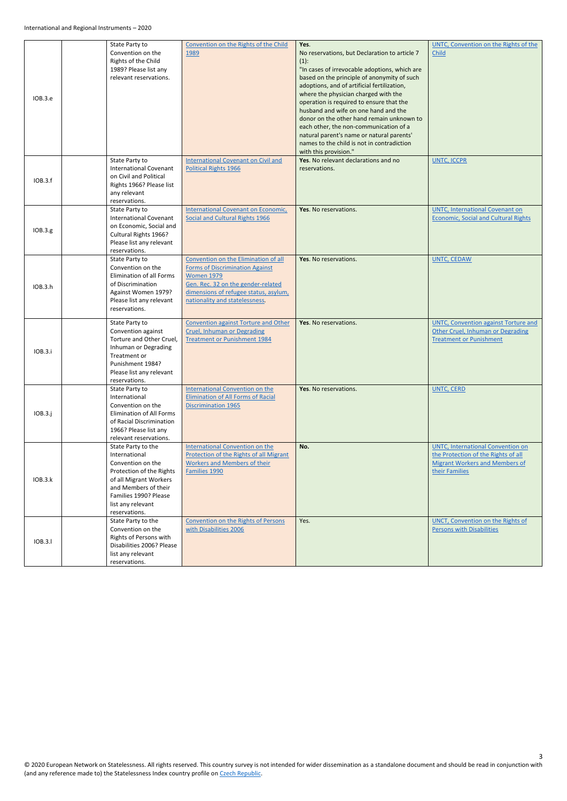|                | State Party to                | Convention on the Rights of the Child       | Yes.                                          | UNTC, Convention on the Rights of the       |
|----------------|-------------------------------|---------------------------------------------|-----------------------------------------------|---------------------------------------------|
|                | Convention on the             | 1989                                        | No reservations, but Declaration to article 7 | Child                                       |
|                | Rights of the Child           |                                             | $(1)$ :                                       |                                             |
|                | 1989? Please list any         |                                             | "In cases of irrevocable adoptions, which are |                                             |
|                | relevant reservations.        |                                             | based on the principle of anonymity of such   |                                             |
|                |                               |                                             | adoptions, and of artificial fertilization,   |                                             |
|                |                               |                                             | where the physician charged with the          |                                             |
| IOB.3.e        |                               |                                             | operation is required to ensure that the      |                                             |
|                |                               |                                             | husband and wife on one hand and the          |                                             |
|                |                               |                                             | donor on the other hand remain unknown to     |                                             |
|                |                               |                                             | each other, the non-communication of a        |                                             |
|                |                               |                                             | natural parent's name or natural parents'     |                                             |
|                |                               |                                             | names to the child is not in contradiction    |                                             |
|                |                               |                                             | with this provision."                         |                                             |
|                | State Party to                | <b>International Covenant on Civil and</b>  | Yes. No relevant declarations and no          | <b>UNTC, ICCPR</b>                          |
|                | <b>International Covenant</b> | <b>Political Rights 1966</b>                | reservations.                                 |                                             |
|                | on Civil and Political        |                                             |                                               |                                             |
| IOB.3.f        | Rights 1966? Please list      |                                             |                                               |                                             |
|                | any relevant                  |                                             |                                               |                                             |
|                | reservations.                 |                                             |                                               |                                             |
|                | State Party to                | International Covenant on Economic,         | Yes. No reservations.                         | <b>UNTC, International Covenant on</b>      |
|                | <b>International Covenant</b> | Social and Cultural Rights 1966             |                                               | <b>Economic, Social and Cultural Rights</b> |
| IOB.3.g        | on Economic, Social and       |                                             |                                               |                                             |
|                | Cultural Rights 1966?         |                                             |                                               |                                             |
|                | Please list any relevant      |                                             |                                               |                                             |
|                | reservations.                 |                                             |                                               |                                             |
|                | State Party to                | Convention on the Elimination of all        | Yes. No reservations.                         | <b>UNTC, CEDAW</b>                          |
|                | Convention on the             | <b>Forms of Discrimination Against</b>      |                                               |                                             |
|                | Elimination of all Forms      | <b>Women 1979</b>                           |                                               |                                             |
| IOB.3.h        | of Discrimination             | Gen. Rec. 32 on the gender-related          |                                               |                                             |
|                | Against Women 1979?           | dimensions of refugee status, asylum,       |                                               |                                             |
|                | Please list any relevant      | nationality and statelessness.              |                                               |                                             |
|                | reservations.                 |                                             |                                               |                                             |
|                | State Party to                | <b>Convention against Torture and Other</b> | Yes. No reservations.                         | <b>UNTC, Convention against Torture and</b> |
|                | Convention against            | Cruel, Inhuman or Degrading                 |                                               | Other Cruel, Inhuman or Degrading           |
|                | Torture and Other Cruel,      | <b>Treatment or Punishment 1984</b>         |                                               | <b>Treatment or Punishment</b>              |
|                | Inhuman or Degrading          |                                             |                                               |                                             |
| IOB.3.i        | Treatment or                  |                                             |                                               |                                             |
|                | Punishment 1984?              |                                             |                                               |                                             |
|                | Please list any relevant      |                                             |                                               |                                             |
|                | reservations.                 |                                             |                                               |                                             |
|                | State Party to                | <b>International Convention on the</b>      | Yes. No reservations.                         | <b>UNTC, CERD</b>                           |
|                | International                 | <b>Elimination of All Forms of Racial</b>   |                                               |                                             |
|                | Convention on the             | <b>Discrimination 1965</b>                  |                                               |                                             |
| IOB.3.j        | Elimination of All Forms      |                                             |                                               |                                             |
|                | of Racial Discrimination      |                                             |                                               |                                             |
|                | 1966? Please list any         |                                             |                                               |                                             |
|                | relevant reservations.        |                                             |                                               |                                             |
|                | State Party to the            | International Convention on the             | No.                                           | <b>UNTC, International Convention on</b>    |
|                | International                 | Protection of the Rights of all Migrant     |                                               | the Protection of the Rights of all         |
|                | Convention on the             | <b>Workers and Members of their</b>         |                                               | <b>Migrant Workers and Members of</b>       |
|                | Protection of the Rights      | Families 1990                               |                                               | their Families                              |
| <b>IOB.3.k</b> | of all Migrant Workers        |                                             |                                               |                                             |
|                | and Members of their          |                                             |                                               |                                             |
|                | Families 1990? Please         |                                             |                                               |                                             |
|                | list any relevant             |                                             |                                               |                                             |
|                | reservations.                 |                                             |                                               |                                             |
|                | State Party to the            | <b>Convention on the Rights of Persons</b>  | Yes.                                          | <b>UNCT, Convention on the Rights of</b>    |
|                | Convention on the             | with Disabilities 2006                      |                                               | <b>Persons with Disabilities</b>            |
| IOB.3.I        | Rights of Persons with        |                                             |                                               |                                             |
|                | Disabilities 2006? Please     |                                             |                                               |                                             |
|                | list any relevant             |                                             |                                               |                                             |
|                | reservations.                 |                                             |                                               |                                             |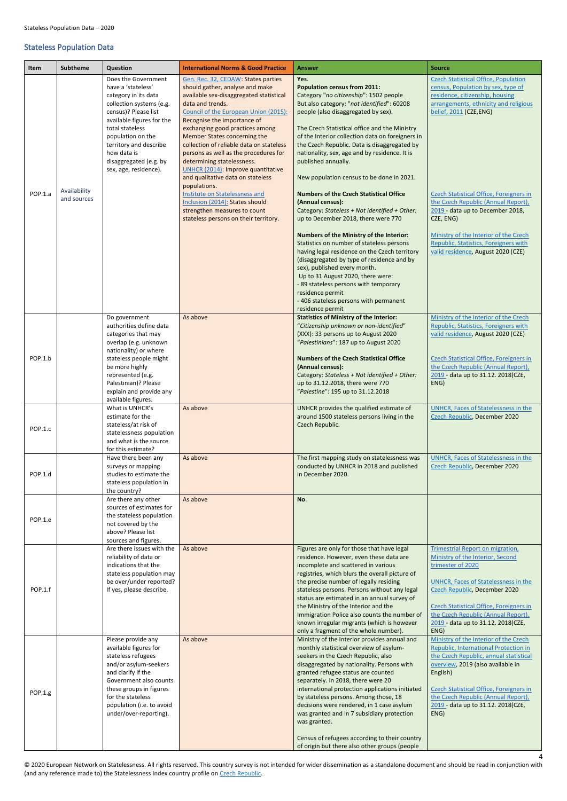4

## <span id="page-3-0"></span>Stateless Population Data

<span id="page-3-1"></span>

| Item    | <b>Subtheme</b>             | Question                                                                                                                                                                                                                                                                               | <b>International Norms &amp; Good Practice</b>                                                                                                                                                                                                                                                                                                                                                                                                                                                                                                                                                                                               | <b>Answer</b>                                                                                                                                                                                                                                                                                                                                                                                                                                                                                                                                                                                                                                                                                                                                                                                                                                                                                                                                                                                              | <b>Source</b>                                                                                                                                                                                                                                                                                                                                                                                                                                             |
|---------|-----------------------------|----------------------------------------------------------------------------------------------------------------------------------------------------------------------------------------------------------------------------------------------------------------------------------------|----------------------------------------------------------------------------------------------------------------------------------------------------------------------------------------------------------------------------------------------------------------------------------------------------------------------------------------------------------------------------------------------------------------------------------------------------------------------------------------------------------------------------------------------------------------------------------------------------------------------------------------------|------------------------------------------------------------------------------------------------------------------------------------------------------------------------------------------------------------------------------------------------------------------------------------------------------------------------------------------------------------------------------------------------------------------------------------------------------------------------------------------------------------------------------------------------------------------------------------------------------------------------------------------------------------------------------------------------------------------------------------------------------------------------------------------------------------------------------------------------------------------------------------------------------------------------------------------------------------------------------------------------------------|-----------------------------------------------------------------------------------------------------------------------------------------------------------------------------------------------------------------------------------------------------------------------------------------------------------------------------------------------------------------------------------------------------------------------------------------------------------|
| POP.1.a | Availability<br>and sources | Does the Government<br>have a 'stateless'<br>category in its data<br>collection systems (e.g.<br>census)? Please list<br>available figures for the<br>total stateless<br>population on the<br>territory and describe<br>how data is<br>disaggregated (e.g. by<br>sex, age, residence). | Gen. Rec. 32, CEDAW: States parties<br>should gather, analyse and make<br>available sex-disaggregated statistical<br>data and trends.<br>Council of the European Union (2015):<br>Recognise the importance of<br>exchanging good practices among<br>Member States concerning the<br>collection of reliable data on stateless<br>persons as well as the procedures for<br>determining statelessness.<br>UNHCR (2014): Improve quantitative<br>and qualitative data on stateless<br>populations.<br>Institute on Statelessness and<br>Inclusion (2014): States should<br>strengthen measures to count<br>stateless persons on their territory. | Yes.<br><b>Population census from 2011:</b><br>Category "no citizenship": 1502 people<br>But also category: "not identified": 60208<br>people (also disaggregated by sex).<br>The Czech Statistical office and the Ministry<br>of the Interior collection data on foreigners in<br>the Czech Republic. Data is disaggregated by<br>nationality, sex, age and by residence. It is<br>published annually.<br>New population census to be done in 2021.<br><b>Numbers of the Czech Statistical Office</b><br>(Annual census):<br>Category: Stateless + Not identified + Other:<br>up to December 2018, there were 770<br>Numbers of the Ministry of the Interior:<br>Statistics on number of stateless persons<br>having legal residence on the Czech territory<br>(disaggregated by type of residence and by<br>sex), published every month.<br>Up to 31 August 2020, there were:<br>- 89 stateless persons with temporary<br>residence permit<br>- 406 stateless persons with permanent<br>residence permit | <b>Czech Statistical Office, Population</b><br>census, Population by sex, type of<br>residence, citizenship, housing<br>arrangements, ethnicity and religious<br>belief, 2011 (CZE,ENG)<br><b>Czech Statistical Office, Foreigners in</b><br>the Czech Republic (Annual Report),<br>2019 - data up to December 2018,<br>CZE, ENG)<br>Ministry of the Interior of the Czech<br>Republic, Statistics, Foreigners with<br>valid residence, August 2020 (CZE) |
| POP.1.b |                             | Do government<br>authorities define data<br>categories that may<br>overlap (e.g. unknown<br>nationality) or where<br>stateless people might<br>be more highly<br>represented (e.g.<br>Palestinian)? Please<br>explain and provide any<br>available figures.                            | As above                                                                                                                                                                                                                                                                                                                                                                                                                                                                                                                                                                                                                                     | <b>Statistics of Ministry of the Interior:</b><br>"Citizenship unknown or non-identified"<br>(XXX): 33 persons up to August 2020<br>"Palestinians": 187 up to August 2020<br><b>Numbers of the Czech Statistical Office</b><br>(Annual census):<br>Category: Stateless + Not identified + Other:<br>up to 31.12.2018, there were 770<br>"Palestine": 195 up to 31.12.2018                                                                                                                                                                                                                                                                                                                                                                                                                                                                                                                                                                                                                                  | Ministry of the Interior of the Czech<br>Republic, Statistics, Foreigners with<br>valid residence, August 2020 (CZE)<br><b>Czech Statistical Office, Foreigners in</b><br>the Czech Republic (Annual Report),<br>2019 - data up to 31.12. 2018(CZE,<br>ENG)                                                                                                                                                                                               |
| POP.1.c |                             | What is UNHCR's<br>estimate for the<br>stateless/at risk of<br>statelessness population<br>and what is the source<br>for this estimate?                                                                                                                                                | As above                                                                                                                                                                                                                                                                                                                                                                                                                                                                                                                                                                                                                                     | UNHCR provides the qualified estimate of<br>around 1500 stateless persons living in the<br>Czech Republic.                                                                                                                                                                                                                                                                                                                                                                                                                                                                                                                                                                                                                                                                                                                                                                                                                                                                                                 | UNHCR, Faces of Statelessness in the<br>Czech Republic, December 2020                                                                                                                                                                                                                                                                                                                                                                                     |
| POP.1.d |                             | Have there been any<br>surveys or mapping<br>studies to estimate the<br>stateless population in<br>the country?                                                                                                                                                                        | As above                                                                                                                                                                                                                                                                                                                                                                                                                                                                                                                                                                                                                                     | The first mapping study on statelessness was<br>conducted by UNHCR in 2018 and published<br>in December 2020.                                                                                                                                                                                                                                                                                                                                                                                                                                                                                                                                                                                                                                                                                                                                                                                                                                                                                              | <b>UNHCR, Faces of Statelessness in the</b><br>Czech Republic, December 2020                                                                                                                                                                                                                                                                                                                                                                              |
| POP.1.e |                             | Are there any other<br>sources of estimates for<br>the stateless population<br>not covered by the<br>above? Please list<br>sources and figures.                                                                                                                                        | As above                                                                                                                                                                                                                                                                                                                                                                                                                                                                                                                                                                                                                                     | No.                                                                                                                                                                                                                                                                                                                                                                                                                                                                                                                                                                                                                                                                                                                                                                                                                                                                                                                                                                                                        |                                                                                                                                                                                                                                                                                                                                                                                                                                                           |
| POP.1.f |                             | Are there issues with the<br>reliability of data or<br>indications that the<br>stateless population may<br>be over/under reported?<br>If yes, please describe.                                                                                                                         | As above                                                                                                                                                                                                                                                                                                                                                                                                                                                                                                                                                                                                                                     | Figures are only for those that have legal<br>residence. However, even these data are<br>incomplete and scattered in various<br>registries, which blurs the overall picture of<br>the precise number of legally residing<br>stateless persons. Persons without any legal<br>status are estimated in an annual survey of<br>the Ministry of the Interior and the<br>Immigration Police also counts the number of<br>known irregular migrants (which is however<br>only a fragment of the whole number).                                                                                                                                                                                                                                                                                                                                                                                                                                                                                                     | <b>Trimestrial Report on migration,</b><br>Ministry of the Interior, Second<br>trimester of 2020<br>UNHCR, Faces of Statelessness in the<br>Czech Republic, December 2020<br><b>Czech Statistical Office, Foreigners in</b><br>the Czech Republic (Annual Report),<br>2019 - data up to 31.12. 2018(CZE,<br>ENG)                                                                                                                                          |
| POP.1.g |                             | Please provide any<br>available figures for<br>stateless refugees<br>and/or asylum-seekers<br>and clarify if the<br>Government also counts<br>these groups in figures<br>for the stateless<br>population (i.e. to avoid<br>under/over-reporting).                                      | As above                                                                                                                                                                                                                                                                                                                                                                                                                                                                                                                                                                                                                                     | Ministry of the Interior provides annual and<br>monthly statistical overview of asylum-<br>seekers in the Czech Republic, also<br>disaggregated by nationality. Persons with<br>granted refugee status are counted<br>separately. In 2018, there were 20<br>international protection applications initiated<br>by stateless persons. Among those, 18<br>decisions were rendered, in 1 case asylum<br>was granted and in 7 subsidiary protection<br>was granted.<br>Census of refugees according to their country<br>of origin but there also other groups (people                                                                                                                                                                                                                                                                                                                                                                                                                                          | Ministry of the Interior of the Czech<br>Republic, International Protection in<br>the Czech Republic, annual statistical<br>overview, 2019 (also available in<br>English)<br>Czech Statistical Office, Foreigners in<br>the Czech Republic (Annual Report),<br>2019 - data up to 31.12. 2018(CZE,<br>ENG)                                                                                                                                                 |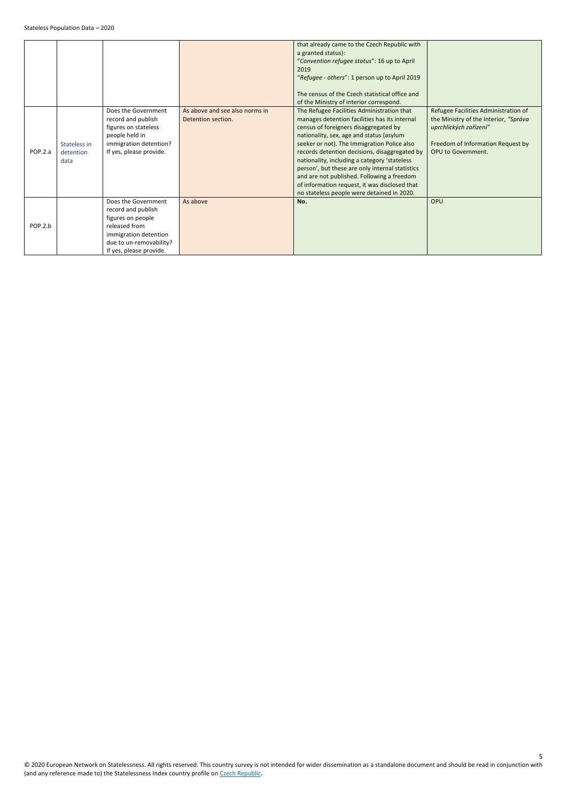<span id="page-4-0"></span>

|         |                                   |                                                                                                                                                                |                                                      | that already came to the Czech Republic with<br>a granted status):<br>"Convention refugee status": 16 up to April<br>2019<br>"Refugee - others": 1 person up to April 2019<br>The census of the Czech statistical office and<br>of the Ministry of interior correspond.                                                                                                                                                                                                                                                          |                                                                                                                                                                    |
|---------|-----------------------------------|----------------------------------------------------------------------------------------------------------------------------------------------------------------|------------------------------------------------------|----------------------------------------------------------------------------------------------------------------------------------------------------------------------------------------------------------------------------------------------------------------------------------------------------------------------------------------------------------------------------------------------------------------------------------------------------------------------------------------------------------------------------------|--------------------------------------------------------------------------------------------------------------------------------------------------------------------|
| POP.2.a | Stateless in<br>detention<br>data | Does the Government<br>record and publish<br>figures on stateless<br>people held in<br>immigration detention?<br>If yes, please provide.                       | As above and see also norms in<br>Detention section. | The Refugee Facilities Administration that<br>manages detention facilities has its internal<br>census of foreigners disaggregated by<br>nationality, sex, age and status (asylum<br>seeker or not). The Immigration Police also<br>records detention decisions, disaggregated by<br>nationality, including a category 'stateless<br>person', but these are only internal statistics<br>and are not published. Following a freedom<br>of information request, it was disclosed that<br>no stateless people were detained in 2020. | Refugee Facilities Administration of<br>the Ministry of the Interior, "Správa<br>uprchlických zařízení"<br>Freedom of Information Request by<br>OPU to Government. |
| POP.2.b |                                   | Does the Government<br>record and publish<br>figures on people<br>released from<br>immigration detention<br>due to un-removability?<br>If yes, please provide. | As above                                             | No.                                                                                                                                                                                                                                                                                                                                                                                                                                                                                                                              | OPU                                                                                                                                                                |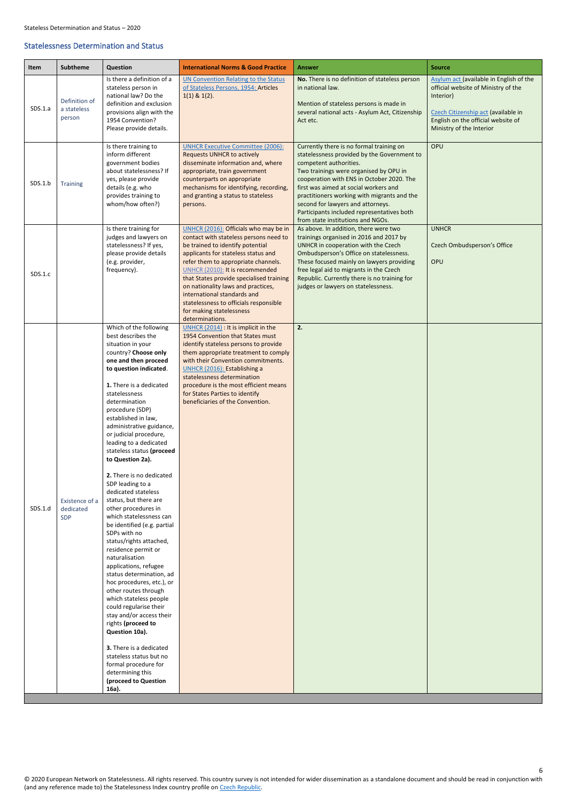6

### <span id="page-5-0"></span>Statelessness Determination and Status

<span id="page-5-3"></span><span id="page-5-2"></span><span id="page-5-1"></span>

| Item    | <b>Subtheme</b>                           | <b>Question</b>                                                                                                                                                                                                                                                                                                                                                                                                                                                                                                                                                                                                                                                                                                                                                                                                                                                                                                                                                                                                               | <b>International Norms &amp; Good Practice</b>                                                                                                                                                                                                                                                                                                                                                                                                 | <b>Answer</b>                                                                                                                                                                                                                                                                                                                                                                                                            | <b>Source</b>                                                                                                                                                                                        |
|---------|-------------------------------------------|-------------------------------------------------------------------------------------------------------------------------------------------------------------------------------------------------------------------------------------------------------------------------------------------------------------------------------------------------------------------------------------------------------------------------------------------------------------------------------------------------------------------------------------------------------------------------------------------------------------------------------------------------------------------------------------------------------------------------------------------------------------------------------------------------------------------------------------------------------------------------------------------------------------------------------------------------------------------------------------------------------------------------------|------------------------------------------------------------------------------------------------------------------------------------------------------------------------------------------------------------------------------------------------------------------------------------------------------------------------------------------------------------------------------------------------------------------------------------------------|--------------------------------------------------------------------------------------------------------------------------------------------------------------------------------------------------------------------------------------------------------------------------------------------------------------------------------------------------------------------------------------------------------------------------|------------------------------------------------------------------------------------------------------------------------------------------------------------------------------------------------------|
| SDS.1.a | Definition of<br>a stateless<br>person    | Is there a definition of a<br>stateless person in<br>national law? Do the<br>definition and exclusion<br>provisions align with the<br>1954 Convention?<br>Please provide details.                                                                                                                                                                                                                                                                                                                                                                                                                                                                                                                                                                                                                                                                                                                                                                                                                                             | <b>UN Convention Relating to the Status</b><br>of Stateless Persons, 1954: Articles<br>$1(1)$ & $1(2)$ .                                                                                                                                                                                                                                                                                                                                       | No. There is no definition of stateless person<br>in national law.<br>Mention of stateless persons is made in<br>several national acts - Asylum Act, Citizenship<br>Act etc.                                                                                                                                                                                                                                             | Asylum act (available in English of the<br>official website of Ministry of the<br>Interior)<br>Czech Citizenship act (available in<br>English on the official website of<br>Ministry of the Interior |
| SDS.1.b | <b>Training</b>                           | Is there training to<br>inform different<br>government bodies<br>about statelessness? If<br>yes, please provide<br>details (e.g. who<br>provides training to<br>whom/how often?)                                                                                                                                                                                                                                                                                                                                                                                                                                                                                                                                                                                                                                                                                                                                                                                                                                              | <b>UNHCR Executive Committee (2006):</b><br><b>Requests UNHCR to actively</b><br>disseminate information and, where<br>appropriate, train government<br>counterparts on appropriate<br>mechanisms for identifying, recording,<br>and granting a status to stateless<br>persons.                                                                                                                                                                | Currently there is no formal training on<br>statelessness provided by the Government to<br>competent authorities.<br>Two trainings were organised by OPU in<br>cooperation with ENS in October 2020. The<br>first was aimed at social workers and<br>practitioners working with migrants and the<br>second for lawyers and attorneys.<br>Participants included representatives both<br>from state institutions and NGOs. | OPU                                                                                                                                                                                                  |
| SDS.1.c |                                           | Is there training for<br>judges and lawyers on<br>statelessness? If yes,<br>please provide details<br>(e.g. provider,<br>frequency).                                                                                                                                                                                                                                                                                                                                                                                                                                                                                                                                                                                                                                                                                                                                                                                                                                                                                          | UNHCR (2016): Officials who may be in<br>contact with stateless persons need to<br>be trained to identify potential<br>applicants for stateless status and<br>refer them to appropriate channels.<br>UNHCR (2010): It is recommended<br>that States provide specialised training<br>on nationality laws and practices,<br>international standards and<br>statelessness to officials responsible<br>for making statelessness<br>determinations. | As above. In addition, there were two<br>trainings organised in 2016 and 2017 by<br>UNHCR in cooperation with the Czech<br>Ombudsperson's Office on statelessness.<br>These focused mainly on lawyers providing<br>free legal aid to migrants in the Czech<br>Republic. Currently there is no training for<br>judges or lawyers on statelessness.                                                                        | <b>UNHCR</b><br>Czech Ombudsperson's Office<br>OPU                                                                                                                                                   |
| SDS.1.d | Existence of a<br>dedicated<br><b>SDP</b> | Which of the following<br>best describes the<br>situation in your<br>country? Choose only<br>one and then proceed<br>to question indicated.<br>1. There is a dedicated<br>statelessness<br>determination<br>procedure (SDP)<br>established in law,<br>administrative guidance,<br>or judicial procedure,<br>leading to a dedicated<br>stateless status (proceed<br>to Question 2a).<br>2. There is no dedicated<br>SDP leading to a<br>dedicated stateless<br>status, but there are<br>other procedures in<br>which statelessness can<br>be identified (e.g. partial<br>SDPs with no<br>status/rights attached,<br>residence permit or<br>naturalisation<br>applications, refugee<br>status determination, ad<br>hoc procedures, etc.), or<br>other routes through<br>which stateless people<br>could regularise their<br>stay and/or access their<br>rights (proceed to<br>Question 10a).<br>3. There is a dedicated<br>stateless status but no<br>formal procedure for<br>determining this<br>(proceed to Question<br>16a). | UNHCR (2014) : It is implicit in the<br>1954 Convention that States must<br>identify stateless persons to provide<br>them appropriate treatment to comply<br>with their Convention commitments.<br>UNHCR (2016): Establishing a<br>statelessness determination<br>procedure is the most efficient means<br>for States Parties to identify<br>beneficiaries of the Convention.                                                                  | 2.                                                                                                                                                                                                                                                                                                                                                                                                                       |                                                                                                                                                                                                      |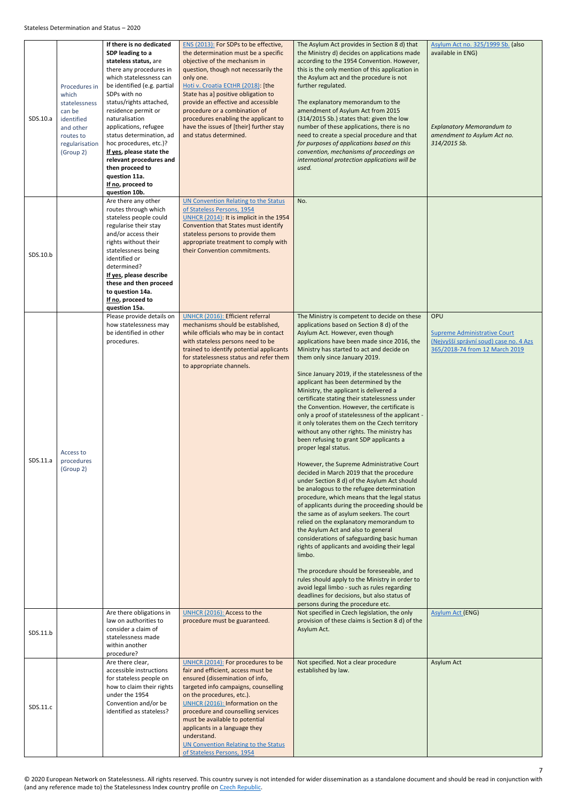<span id="page-6-1"></span><span id="page-6-0"></span>

| SDS.10.a | Procedures in<br>which<br>statelessness<br>can be<br>identified<br>and other<br>routes to<br>regularisation<br>(Group 2) | If there is no dedicated<br>SDP leading to a<br>stateless status, are<br>there any procedures in<br>which statelessness can<br>be identified (e.g. partial<br>SDPs with no<br>status/rights attached,<br>residence permit or<br>naturalisation<br>applications, refugee<br>status determination, ad<br>hoc procedures, etc.)?<br>If yes, please state the<br>relevant procedures and<br>then proceed to<br>question 11a.<br>If no, proceed to<br>question 10b. | ENS (2013): For SDPs to be effective,<br>the determination must be a specific<br>objective of the mechanism in<br>question, though not necessarily the<br>only one.<br>Hoti v. Croatia ECtHR (2018): [the<br>State has a] positive obligation to<br>provide an effective and accessible<br>procedure or a combination of<br>procedures enabling the applicant to<br>have the issues of [their] further stay<br>and status determined. | The Asylum Act provides in Section 8 d) that<br>the Ministry d) decides on applications made<br>according to the 1954 Convention. However,<br>this is the only mention of this application in<br>the Asylum act and the procedure is not<br>further regulated.<br>The explanatory memorandum to the<br>amendment of Asylum Act from 2015<br>(314/2015 Sb.) states that: given the low<br>number of these applications, there is no<br>need to create a special procedure and that<br>for purposes of applications based on this<br>convention, mechanisms of proceedings on<br>international protection applications will be<br>used.                                                                                                                                                                                                                                                                                                                                                                                                                                                                                                                                                                                                                                                                                                                                                                                                                                              | Asylum Act no. 325/1999 Sb. (also<br>available in ENG)<br><b>Explanatory Memorandum to</b><br>amendment to Asylum Act no.<br>314/2015 Sb. |
|----------|--------------------------------------------------------------------------------------------------------------------------|----------------------------------------------------------------------------------------------------------------------------------------------------------------------------------------------------------------------------------------------------------------------------------------------------------------------------------------------------------------------------------------------------------------------------------------------------------------|---------------------------------------------------------------------------------------------------------------------------------------------------------------------------------------------------------------------------------------------------------------------------------------------------------------------------------------------------------------------------------------------------------------------------------------|------------------------------------------------------------------------------------------------------------------------------------------------------------------------------------------------------------------------------------------------------------------------------------------------------------------------------------------------------------------------------------------------------------------------------------------------------------------------------------------------------------------------------------------------------------------------------------------------------------------------------------------------------------------------------------------------------------------------------------------------------------------------------------------------------------------------------------------------------------------------------------------------------------------------------------------------------------------------------------------------------------------------------------------------------------------------------------------------------------------------------------------------------------------------------------------------------------------------------------------------------------------------------------------------------------------------------------------------------------------------------------------------------------------------------------------------------------------------------------|-------------------------------------------------------------------------------------------------------------------------------------------|
| SDS.10.b |                                                                                                                          | Are there any other<br>routes through which<br>stateless people could<br>regularise their stay<br>and/or access their<br>rights without their<br>statelessness being<br>identified or<br>determined?<br>If yes, please describe<br>these and then proceed<br>to question 14a.<br>If no, proceed to<br>question 15a.                                                                                                                                            | <b>UN Convention Relating to the Status</b><br>of Stateless Persons, 1954<br>UNHCR (2014): It is implicit in the 1954<br>Convention that States must identify<br>stateless persons to provide them<br>appropriate treatment to comply with<br>their Convention commitments.                                                                                                                                                           | No.                                                                                                                                                                                                                                                                                                                                                                                                                                                                                                                                                                                                                                                                                                                                                                                                                                                                                                                                                                                                                                                                                                                                                                                                                                                                                                                                                                                                                                                                                |                                                                                                                                           |
| SDS.11.a | Access to<br>procedures<br>(Group 2)                                                                                     | Please provide details on<br>how statelessness may<br>be identified in other<br>procedures.                                                                                                                                                                                                                                                                                                                                                                    | <b>UNHCR (2016): Efficient referral</b><br>mechanisms should be established,<br>while officials who may be in contact<br>with stateless persons need to be<br>trained to identify potential applicants<br>for statelessness status and refer them<br>to appropriate channels.                                                                                                                                                         | The Ministry is competent to decide on these<br>applications based on Section 8 d) of the<br>Asylum Act. However, even though<br>applications have been made since 2016, the<br>Ministry has started to act and decide on<br>them only since January 2019.<br>Since January 2019, if the statelessness of the<br>applicant has been determined by the<br>Ministry, the applicant is delivered a<br>certificate stating their statelessness under<br>the Convention. However, the certificate is<br>only a proof of statelessness of the applicant -<br>it only tolerates them on the Czech territory<br>without any other rights. The ministry has<br>been refusing to grant SDP applicants a<br>proper legal status.<br>However, the Supreme Administrative Court<br>decided in March 2019 that the procedure<br>under Section 8 d) of the Asylum Act should<br>be analogous to the refugee determination<br>procedure, which means that the legal status<br>of applicants during the proceeding should be<br>the same as of asylum seekers. The court<br>relied on the explanatory memorandum to<br>the Asylum Act and also to general<br>considerations of safeguarding basic human<br>rights of applicants and avoiding their legal<br>limbo.<br>The procedure should be foreseeable, and<br>rules should apply to the Ministry in order to<br>avoid legal limbo - such as rules regarding<br>deadlines for decisions, but also status of<br>persons during the procedure etc. | OPU<br><b>Supreme Administrative Court</b><br>(Nejvyšší správní soud) case no. 4 Azs<br>365/2018-74 from 12 March 2019                    |
| SDS.11.b |                                                                                                                          | Are there obligations in<br>law on authorities to<br>consider a claim of<br>statelessness made<br>within another<br>procedure?                                                                                                                                                                                                                                                                                                                                 | UNHCR (2016): Access to the<br>procedure must be guaranteed.                                                                                                                                                                                                                                                                                                                                                                          | Not specified in Czech legislation, the only<br>provision of these claims is Section 8 d) of the<br>Asylum Act.                                                                                                                                                                                                                                                                                                                                                                                                                                                                                                                                                                                                                                                                                                                                                                                                                                                                                                                                                                                                                                                                                                                                                                                                                                                                                                                                                                    | <b>Asylum Act (ENG)</b>                                                                                                                   |
| SDS.11.c |                                                                                                                          | Are there clear,<br>accessible instructions<br>for stateless people on<br>how to claim their rights<br>under the 1954<br>Convention and/or be<br>identified as stateless?                                                                                                                                                                                                                                                                                      | UNHCR (2014): For procedures to be<br>fair and efficient, access must be<br>ensured (dissemination of info,<br>targeted info campaigns, counselling<br>on the procedures, etc.).<br>UNHCR (2016): Information on the<br>procedure and counselling services<br>must be available to potential<br>applicants in a language they<br>understand.<br>UN Convention Relating to the Status<br>of Stateless Persons, 1954                    | Not specified. Not a clear procedure<br>established by law.                                                                                                                                                                                                                                                                                                                                                                                                                                                                                                                                                                                                                                                                                                                                                                                                                                                                                                                                                                                                                                                                                                                                                                                                                                                                                                                                                                                                                        | <b>Asylum Act</b>                                                                                                                         |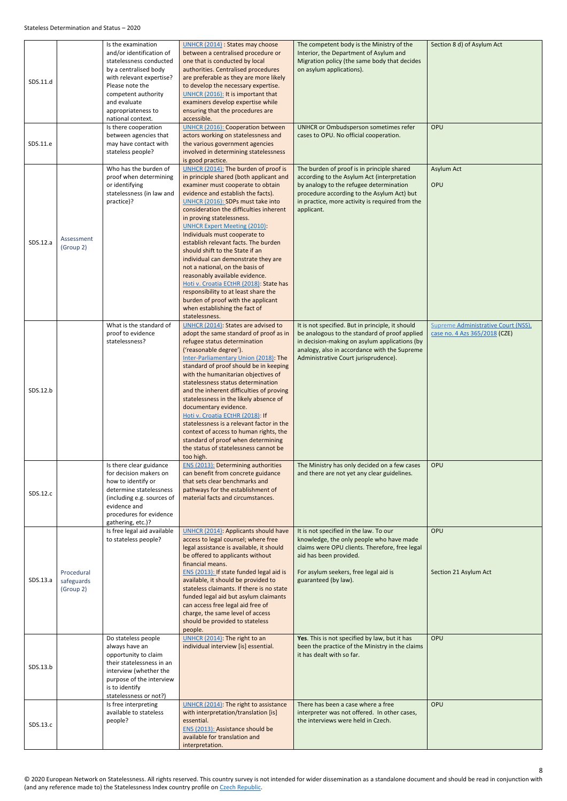<span id="page-7-1"></span><span id="page-7-0"></span>

| SDS.11.d |                                       | Is the examination<br>and/or identification of<br>statelessness conducted<br>by a centralised body<br>with relevant expertise?<br>Please note the<br>competent authority<br>and evaluate<br>appropriateness to<br>national context. | UNHCR (2014) : States may choose<br>between a centralised procedure or<br>one that is conducted by local<br>authorities. Centralised procedures<br>are preferable as they are more likely<br>to develop the necessary expertise.<br>UNHCR (2016): It is important that<br>examiners develop expertise while<br>ensuring that the procedures are<br>accessible.                                                                                                                                                                                                                                                                                                                                                     | The competent body is the Ministry of the<br>Interior, the Department of Asylum and<br>Migration policy (the same body that decides<br>on asylum applications).                                                                                     | Section 8 d) of Asylum Act                                           |
|----------|---------------------------------------|-------------------------------------------------------------------------------------------------------------------------------------------------------------------------------------------------------------------------------------|--------------------------------------------------------------------------------------------------------------------------------------------------------------------------------------------------------------------------------------------------------------------------------------------------------------------------------------------------------------------------------------------------------------------------------------------------------------------------------------------------------------------------------------------------------------------------------------------------------------------------------------------------------------------------------------------------------------------|-----------------------------------------------------------------------------------------------------------------------------------------------------------------------------------------------------------------------------------------------------|----------------------------------------------------------------------|
| SDS.11.e |                                       | Is there cooperation<br>between agencies that<br>may have contact with<br>stateless people?                                                                                                                                         | <b>UNHCR (2016): Cooperation between</b><br>actors working on statelessness and<br>the various government agencies<br>involved in determining statelessness<br>is good practice.                                                                                                                                                                                                                                                                                                                                                                                                                                                                                                                                   | UNHCR or Ombudsperson sometimes refer<br>cases to OPU. No official cooperation.                                                                                                                                                                     | OPU                                                                  |
| SDS.12.a | Assessment<br>(Group 2)               | Who has the burden of<br>proof when determining<br>or identifying<br>statelessness (in law and<br>practice)?                                                                                                                        | UNHCR (2014): The burden of proof is<br>in principle shared (both applicant and<br>examiner must cooperate to obtain<br>evidence and establish the facts).<br>UNHCR (2016): SDPs must take into<br>consideration the difficulties inherent<br>in proving statelessness.<br><b>UNHCR Expert Meeting (2010):</b><br>Individuals must cooperate to<br>establish relevant facts. The burden<br>should shift to the State if an<br>individual can demonstrate they are<br>not a national, on the basis of<br>reasonably available evidence.<br>Hoti v. Croatia ECtHR (2018): State has<br>responsibility to at least share the<br>burden of proof with the applicant<br>when establishing the fact of<br>statelessness. | The burden of proof is in principle shared<br>according to the Asylum Act (interpretation<br>by analogy to the refugee determination<br>procedure according to the Asylum Act) but<br>in practice, more activity is required from the<br>applicant. | Asylum Act<br>OPU                                                    |
| SDS.12.b |                                       | What is the standard of<br>proof to evidence<br>statelessness?                                                                                                                                                                      | UNHCR (2014): States are advised to<br>adopt the same standard of proof as in<br>refugee status determination<br>('reasonable degree').<br>Inter-Parliamentary Union (2018): The<br>standard of proof should be in keeping<br>with the humanitarian objectives of<br>statelessness status determination<br>and the inherent difficulties of proving<br>statelessness in the likely absence of<br>documentary evidence.<br>Hoti v. Croatia ECtHR (2018): If<br>statelessness is a relevant factor in the<br>context of access to human rights, the<br>standard of proof when determining<br>the status of statelessness cannot be<br>too high.                                                                      | It is not specified. But in principle, it should<br>be analogous to the standard of proof applied<br>in decision-making on asylum applications (by<br>analogy, also in accordance with the Supreme<br>Administrative Court jurisprudence).          | Supreme Administrative Court (NSS),<br>case no. 4 Azs 365/2018 (CZE) |
| SDS.12.c |                                       | Is there clear guidance<br>for decision makers on<br>how to identify or<br>determine statelessness<br>(including e.g. sources of<br>evidence and<br>procedures for evidence<br>gathering, etc.)?                                    | <b>ENS (2013): Determining authorities</b><br>can benefit from concrete guidance<br>that sets clear benchmarks and<br>pathways for the establishment of<br>material facts and circumstances.                                                                                                                                                                                                                                                                                                                                                                                                                                                                                                                       | The Ministry has only decided on a few cases<br>and there are not yet any clear guidelines.                                                                                                                                                         | OPU                                                                  |
| SDS.13.a | Procedural<br>safeguards<br>(Group 2) | Is free legal aid available<br>to stateless people?                                                                                                                                                                                 | <b>UNHCR (2014): Applicants should have</b><br>access to legal counsel; where free<br>legal assistance is available, it should<br>be offered to applicants without<br>financial means.<br>ENS (2013): If state funded legal aid is<br>available, it should be provided to<br>stateless claimants. If there is no state<br>funded legal aid but asylum claimants<br>can access free legal aid free of<br>charge, the same level of access<br>should be provided to stateless<br>people.                                                                                                                                                                                                                             | It is not specified in the law. To our<br>knowledge, the only people who have made<br>claims were OPU clients. Therefore, free legal<br>aid has been provided.<br>For asylum seekers, free legal aid is<br>guaranteed (by law).                     | OPU<br>Section 21 Asylum Act                                         |
| SDS.13.b |                                       | Do stateless people<br>always have an<br>opportunity to claim<br>their statelessness in an<br>interview (whether the<br>purpose of the interview<br>is to identify<br>statelessness or not?)                                        | UNHCR (2014): The right to an<br>individual interview [is] essential.                                                                                                                                                                                                                                                                                                                                                                                                                                                                                                                                                                                                                                              | Yes. This is not specified by law, but it has<br>been the practice of the Ministry in the claims<br>it has dealt with so far.                                                                                                                       | OPU                                                                  |
| SDS.13.c |                                       | Is free interpreting<br>available to stateless<br>people?                                                                                                                                                                           | UNHCR (2014): The right to assistance<br>with interpretation/translation [is]<br>essential.<br>ENS (2013): Assistance should be<br>available for translation and<br>interpretation.                                                                                                                                                                                                                                                                                                                                                                                                                                                                                                                                | There has been a case where a free<br>interpreter was not offered. In other cases,<br>the interviews were held in Czech.                                                                                                                            | OPU                                                                  |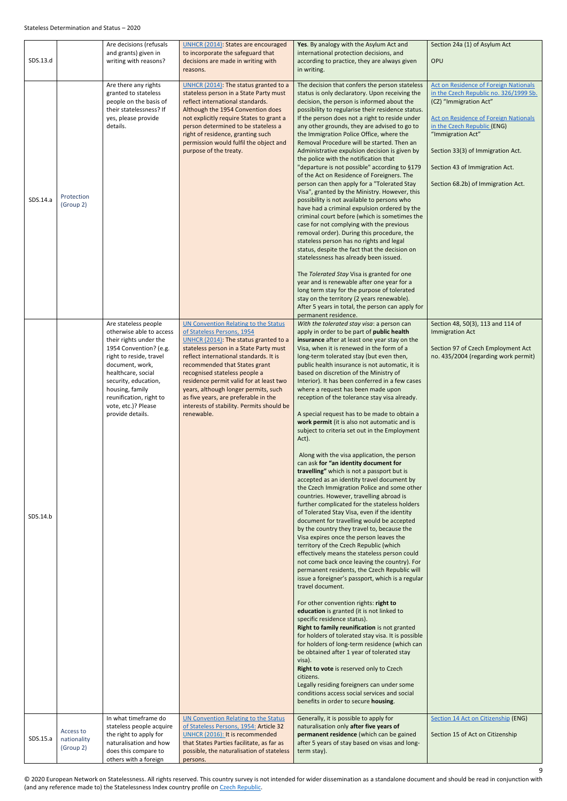<span id="page-8-1"></span><span id="page-8-0"></span>

| SDS.13.d |                                       | Are decisions (refusals<br>and grants) given in<br>writing with reasons?                                                                                                                                                                                                                  | <b>UNHCR (2014): States are encouraged</b><br>to incorporate the safeguard that<br>decisions are made in writing with<br>reasons.                                                                                                                                                                                                                                                                                                                              | Yes. By analogy with the Asylum Act and<br>international protection decisions, and<br>according to practice, they are always given<br>in writing.                                                                                                                                                                                                                                                                                                                                                                                                                                                                                                                                                                                                                                                                                                                                                                                                                                                                                                                                                                                                                                                                                                                                                                                                                                                                                                                                                                                                                                                                                                                                                                                                                                                                                                                                                                                                             | Section 24a (1) of Asylum Act<br>OPU                                                                                                                                                                                                                                                                                       |
|----------|---------------------------------------|-------------------------------------------------------------------------------------------------------------------------------------------------------------------------------------------------------------------------------------------------------------------------------------------|----------------------------------------------------------------------------------------------------------------------------------------------------------------------------------------------------------------------------------------------------------------------------------------------------------------------------------------------------------------------------------------------------------------------------------------------------------------|---------------------------------------------------------------------------------------------------------------------------------------------------------------------------------------------------------------------------------------------------------------------------------------------------------------------------------------------------------------------------------------------------------------------------------------------------------------------------------------------------------------------------------------------------------------------------------------------------------------------------------------------------------------------------------------------------------------------------------------------------------------------------------------------------------------------------------------------------------------------------------------------------------------------------------------------------------------------------------------------------------------------------------------------------------------------------------------------------------------------------------------------------------------------------------------------------------------------------------------------------------------------------------------------------------------------------------------------------------------------------------------------------------------------------------------------------------------------------------------------------------------------------------------------------------------------------------------------------------------------------------------------------------------------------------------------------------------------------------------------------------------------------------------------------------------------------------------------------------------------------------------------------------------------------------------------------------------|----------------------------------------------------------------------------------------------------------------------------------------------------------------------------------------------------------------------------------------------------------------------------------------------------------------------------|
| SDS.14.a | Protection<br>(Group 2)               | Are there any rights<br>granted to stateless<br>people on the basis of<br>their statelessness? If<br>yes, please provide<br>details.                                                                                                                                                      | UNHCR (2014): The status granted to a<br>stateless person in a State Party must<br>reflect international standards.<br>Although the 1954 Convention does<br>not explicitly require States to grant a<br>person determined to be stateless a<br>right of residence, granting such<br>permission would fulfil the object and<br>purpose of the treaty.                                                                                                           | The decision that confers the person stateless<br>status is only declaratory. Upon receiving the<br>decision, the person is informed about the<br>possibility to regularise their residence status.<br>If the person does not a right to reside under<br>any other grounds, they are advised to go to<br>the Immigration Police Office, where the<br>Removal Procedure will be started. Then an<br>Administrative expulsion decision is given by<br>the police with the notification that<br>"departure is not possible" according to §179<br>of the Act on Residence of Foreigners. The<br>person can then apply for a "Tolerated Stay<br>Visa", granted by the Ministry. However, this<br>possibility is not available to persons who<br>have had a criminal expulsion ordered by the<br>criminal court before (which is sometimes the<br>case for not complying with the previous<br>removal order). During this procedure, the<br>stateless person has no rights and legal<br>status, despite the fact that the decision on<br>statelessness has already been issued.<br>The Tolerated Stay Visa is granted for one<br>year and is renewable after one year for a<br>long term stay for the purpose of tolerated<br>stay on the territory (2 years renewable).<br>After 5 years in total, the person can apply for<br>permanent residence.                                                                                                                                                                                                                                                                                                                                                                                                                                                                                                                                                                                                                | Act on Residence of Foreign Nationals<br>in the Czech Republic no. 326/1999 Sb.<br>(CZ) "Immigration Act"<br><b>Act on Residence of Foreign Nationals</b><br>in the Czech Republic (ENG)<br>"Immigration Act"<br>Section 33(3) of Immigration Act.<br>Section 43 of Immigration Act.<br>Section 68.2b) of Immigration Act. |
| SDS.14.b |                                       | Are stateless people<br>otherwise able to access<br>their rights under the<br>1954 Convention? (e.g.<br>right to reside, travel<br>document, work,<br>healthcare, social<br>security, education,<br>housing, family<br>reunification, right to<br>vote, etc.)? Please<br>provide details. | <b>UN Convention Relating to the Status</b><br>of Stateless Persons, 1954<br>UNHCR (2014): The status granted to a<br>stateless person in a State Party must<br>reflect international standards. It is<br>recommended that States grant<br>recognised stateless people a<br>residence permit valid for at least two<br>years, although longer permits, such<br>as five years, are preferable in the<br>interests of stability. Permits should be<br>renewable. | With the tolerated stay visa: a person can<br>apply in order to be part of public health<br>insurance after at least one year stay on the<br>Visa, when it is renewed in the form of a<br>long-term tolerated stay (but even then,<br>public health insurance is not automatic, it is<br>based on discretion of the Ministry of<br>Interior). It has been conferred in a few cases<br>where a request has been made upon<br>reception of the tolerance stay visa already.<br>A special request has to be made to obtain a<br>work permit (it is also not automatic and is<br>subject to criteria set out in the Employment<br>Act).<br>Along with the visa application, the person<br>can ask for "an identity document for<br>travelling" which is not a passport but is<br>accepted as an identity travel document by<br>the Czech Immigration Police and some other<br>countries. However, travelling abroad is<br>further complicated for the stateless holders<br>of Tolerated Stay Visa, even if the identity<br>document for travelling would be accepted<br>by the country they travel to, because the<br>Visa expires once the person leaves the<br>territory of the Czech Republic (which<br>effectively means the stateless person could<br>not come back once leaving the country). For<br>permanent residents, the Czech Republic will<br>issue a foreigner's passport, which is a regular<br>travel document.<br>For other convention rights: right to<br>education is granted (it is not linked to<br>specific residence status).<br>Right to family reunification is not granted<br>for holders of tolerated stay visa. It is possible<br>for holders of long-term residence (which can<br>be obtained after 1 year of tolerated stay<br>visa).<br>Right to vote is reserved only to Czech<br>citizens.<br>Legally residing foreigners can under some<br>conditions access social services and social<br>benefits in order to secure housing. | Section 48, 50(3), 113 and 114 of<br><b>Immigration Act</b><br>Section 97 of Czech Employment Act<br>no. 435/2004 (regarding work permit)                                                                                                                                                                                  |
| SDS.15.a | Access to<br>nationality<br>(Group 2) | In what timeframe do<br>stateless people acquire<br>the right to apply for<br>naturalisation and how<br>does this compare to<br>others with a foreign                                                                                                                                     | <b>UN Convention Relating to the Status</b><br>of Stateless Persons, 1954: Article 32<br>UNHCR (2016): It is recommended<br>that States Parties facilitate, as far as<br>possible, the naturalisation of stateless<br>persons.                                                                                                                                                                                                                                 | Generally, it is possible to apply for<br>naturalisation only after five years of<br>permanent residence (which can be gained<br>after 5 years of stay based on visas and long-<br>term stay).                                                                                                                                                                                                                                                                                                                                                                                                                                                                                                                                                                                                                                                                                                                                                                                                                                                                                                                                                                                                                                                                                                                                                                                                                                                                                                                                                                                                                                                                                                                                                                                                                                                                                                                                                                | Section 14 Act on Citizenship (ENG)<br>Section 15 of Act on Citizenship                                                                                                                                                                                                                                                    |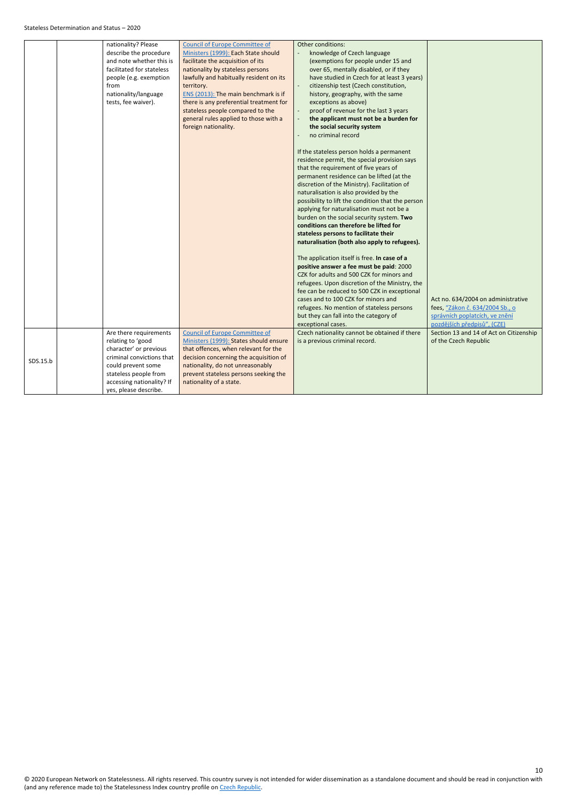|          | nationality? Please<br>describe the procedure<br>and note whether this is<br>facilitated for stateless<br>people (e.g. exemption<br>from<br>nationality/language<br>tests, fee waiver).                 | <b>Council of Europe Committee of</b><br>Ministers (1999): Each State should<br>facilitate the acquisition of its<br>nationality by stateless persons<br>lawfully and habitually resident on its<br>territory.<br>ENS (2013): The main benchmark is if<br>there is any preferential treatment for<br>stateless people compared to the<br>general rules applied to those with a<br>foreign nationality. | Other conditions:<br>knowledge of Czech language<br>(exemptions for people under 15 and<br>over 65, mentally disabled, or if they<br>have studied in Czech for at least 3 years)<br>citizenship test (Czech constitution,<br>history, geography, with the same<br>exceptions as above)<br>proof of revenue for the last 3 years<br>the applicant must not be a burden for<br>the social security system<br>no criminal record<br>If the stateless person holds a permanent<br>residence permit, the special provision says<br>that the requirement of five years of<br>permanent residence can be lifted (at the<br>discretion of the Ministry). Facilitation of<br>naturalisation is also provided by the<br>possibility to lift the condition that the person<br>applying for naturalisation must not be a<br>burden on the social security system. Two<br>conditions can therefore be lifted for<br>stateless persons to facilitate their<br>naturalisation (both also apply to refugees).<br>The application itself is free. In case of a<br>positive answer a fee must be paid: 2000<br>CZK for adults and 500 CZK for minors and<br>refugees. Upon discretion of the Ministry, the<br>fee can be reduced to 500 CZK in exceptional<br>cases and to 100 CZK for minors and<br>refugees. No mention of stateless persons | Act no. 634/2004 on administrative<br>fees, "Zákon č. 634/2004 Sb., o |
|----------|---------------------------------------------------------------------------------------------------------------------------------------------------------------------------------------------------------|--------------------------------------------------------------------------------------------------------------------------------------------------------------------------------------------------------------------------------------------------------------------------------------------------------------------------------------------------------------------------------------------------------|------------------------------------------------------------------------------------------------------------------------------------------------------------------------------------------------------------------------------------------------------------------------------------------------------------------------------------------------------------------------------------------------------------------------------------------------------------------------------------------------------------------------------------------------------------------------------------------------------------------------------------------------------------------------------------------------------------------------------------------------------------------------------------------------------------------------------------------------------------------------------------------------------------------------------------------------------------------------------------------------------------------------------------------------------------------------------------------------------------------------------------------------------------------------------------------------------------------------------------------------------------------------------------------------------------------------------|-----------------------------------------------------------------------|
|          |                                                                                                                                                                                                         |                                                                                                                                                                                                                                                                                                                                                                                                        | but they can fall into the category of<br>exceptional cases.                                                                                                                                                                                                                                                                                                                                                                                                                                                                                                                                                                                                                                                                                                                                                                                                                                                                                                                                                                                                                                                                                                                                                                                                                                                                 | správních poplatcích, ve znění<br>pozdějších předpisů", (CZE)         |
| SDS.15.b | Are there requirements<br>relating to 'good<br>character' or previous<br>criminal convictions that<br>could prevent some<br>stateless people from<br>accessing nationality? If<br>yes, please describe. | <b>Council of Europe Committee of</b><br>Ministers (1999): States should ensure<br>that offences, when relevant for the<br>decision concerning the acquisition of<br>nationality, do not unreasonably<br>prevent stateless persons seeking the<br>nationality of a state.                                                                                                                              | Czech nationality cannot be obtained if there<br>is a previous criminal record.                                                                                                                                                                                                                                                                                                                                                                                                                                                                                                                                                                                                                                                                                                                                                                                                                                                                                                                                                                                                                                                                                                                                                                                                                                              | Section 13 and 14 of Act on Citizenship<br>of the Czech Republic      |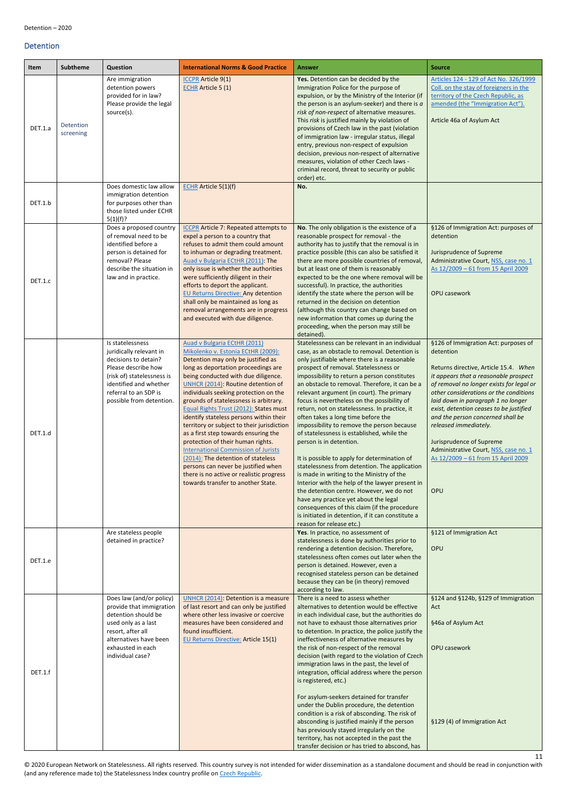11

#### <span id="page-10-0"></span>Detention

<span id="page-10-1"></span>

| Item    | <b>Subtheme</b>        | <b>Question</b>                                                                                                                                                                                         | <b>International Norms &amp; Good Practice</b>                                                                                                                                                                                                                                                                                                                                                                                                                                                                                                                                                                                                                                                                                               | <b>Answer</b>                                                                                                                                                                                                                                                                                                                                                                                                                                                                                                                                                                                                                                                                                                                                                                                                                                                                                                                                                                                                               | <b>Source</b>                                                                                                                                                                                                                                                                                                                                                                                                                                                                              |
|---------|------------------------|---------------------------------------------------------------------------------------------------------------------------------------------------------------------------------------------------------|----------------------------------------------------------------------------------------------------------------------------------------------------------------------------------------------------------------------------------------------------------------------------------------------------------------------------------------------------------------------------------------------------------------------------------------------------------------------------------------------------------------------------------------------------------------------------------------------------------------------------------------------------------------------------------------------------------------------------------------------|-----------------------------------------------------------------------------------------------------------------------------------------------------------------------------------------------------------------------------------------------------------------------------------------------------------------------------------------------------------------------------------------------------------------------------------------------------------------------------------------------------------------------------------------------------------------------------------------------------------------------------------------------------------------------------------------------------------------------------------------------------------------------------------------------------------------------------------------------------------------------------------------------------------------------------------------------------------------------------------------------------------------------------|--------------------------------------------------------------------------------------------------------------------------------------------------------------------------------------------------------------------------------------------------------------------------------------------------------------------------------------------------------------------------------------------------------------------------------------------------------------------------------------------|
| DET.1.a | Detention<br>screening | Are immigration<br>detention powers<br>provided for in law?<br>Please provide the legal<br>source(s).                                                                                                   | <b>ICCPR</b> Article 9(1)<br><b>ECHR Article 5 (1)</b>                                                                                                                                                                                                                                                                                                                                                                                                                                                                                                                                                                                                                                                                                       | Yes. Detention can be decided by the<br>Immigration Police for the purpose of<br>expulsion, or by the Ministry of the Interior (if<br>the person is an asylum-seeker) and there is $a$<br>risk of non-respect of alternative measures.<br>This risk is justified mainly by violation of<br>provisions of Czech law in the past (violation<br>of immigration law - irregular status, illegal<br>entry, previous non-respect of expulsion<br>decision, previous non-respect of alternative<br>measures, violation of other Czech laws -<br>criminal record, threat to security or public<br>order) etc.                                                                                                                                                                                                                                                                                                                                                                                                                       | Articles 124 - 129 of Act No. 326/1999<br>Coll. on the stay of foreigners in the<br>territory of the Czech Republic, as<br>amended (the "Immigration Act").<br>Article 46a of Asylum Act                                                                                                                                                                                                                                                                                                   |
| DET.1.b |                        | Does domestic law allow<br>immigration detention<br>for purposes other than<br>those listed under ECHR<br>5(1)(f)?                                                                                      | <b>ECHR</b> Article 5(1)(f)                                                                                                                                                                                                                                                                                                                                                                                                                                                                                                                                                                                                                                                                                                                  | No.                                                                                                                                                                                                                                                                                                                                                                                                                                                                                                                                                                                                                                                                                                                                                                                                                                                                                                                                                                                                                         |                                                                                                                                                                                                                                                                                                                                                                                                                                                                                            |
| DET.1.c |                        | Does a proposed country<br>of removal need to be<br>identified before a<br>person is detained for<br>removal? Please<br>describe the situation in<br>law and in practice.                               | <b>ICCPR</b> Article 7: Repeated attempts to<br>expel a person to a country that<br>refuses to admit them could amount<br>to inhuman or degrading treatment.<br>Auad v Bulgaria ECtHR (2011): The<br>only issue is whether the authorities<br>were sufficiently diligent in their<br>efforts to deport the applicant.<br><b>EU Returns Directive: Any detention</b><br>shall only be maintained as long as<br>removal arrangements are in progress<br>and executed with due diligence.                                                                                                                                                                                                                                                       | No. The only obligation is the existence of a<br>reasonable prospect for removal - the<br>authority has to justify that the removal is in<br>practice possible (this can also be satisfied it<br>there are more possible countries of removal,<br>but at least one of them is reasonably<br>expected to be the one where removal will be<br>successful). In practice, the authorities<br>identify the state where the person will be<br>returned in the decision on detention<br>(although this country can change based on<br>new information that comes up during the<br>proceeding, when the person may still be<br>detained).                                                                                                                                                                                                                                                                                                                                                                                           | §126 of Immigration Act: purposes of<br>detention<br>Jurisprudence of Supreme<br>Administrative Court, NSS, case no. 1<br>As 12/2009 - 61 from 15 April 2009<br>OPU casework                                                                                                                                                                                                                                                                                                               |
| DET.1.d |                        | Is statelessness<br>juridically relevant in<br>decisions to detain?<br>Please describe how<br>(risk of) statelessness is<br>identified and whether<br>referral to an SDP is<br>possible from detention. | Auad v Bulgaria ECtHR (2011)<br>Mikolenko v. Estonia ECtHR (2009):<br>Detention may only be justified as<br>long as deportation proceedings are<br>being conducted with due diligence.<br>UNHCR (2014): Routine detention of<br>individuals seeking protection on the<br>grounds of statelessness is arbitrary.<br>Equal Rights Trust (2012): States must<br>identify stateless persons within their<br>territory or subject to their jurisdiction<br>as a first step towards ensuring the<br>protection of their human rights.<br><b>International Commission of Jurists</b><br>(2014): The detention of stateless<br>persons can never be justified when<br>there is no active or realistic progress<br>towards transfer to another State. | Statelessness can be relevant in an individual<br>case, as an obstacle to removal. Detention is<br>only justifiable where there is a reasonable<br>prospect of removal. Statelessness or<br>impossibility to return a person constitutes<br>an obstacle to removal. Therefore, it can be a<br>relevant argument (in court). The primary<br>focus is nevertheless on the possibility of<br>return, not on statelessness. In practice, it<br>often takes a long time before the<br>impossibility to remove the person because<br>of statelessness is established, while the<br>person is in detention.<br>It is possible to apply for determination of<br>statelessness from detention. The application<br>is made in writing to the Ministry of the<br>Interior with the help of the lawyer present in<br>the detention centre. However, we do not<br>have any practice yet about the legal<br>consequences of this claim (if the procedure<br>is initiated in detention, if it can constitute a<br>reason for release etc.) | §126 of Immigration Act: purposes of<br>detention<br>Returns directive, Article 15.4. When<br>it appears that a reasonable prospect<br>of removal no longer exists for legal or<br>other considerations or the conditions<br>laid down in paragraph 1 no longer<br>exist, detention ceases to be justified<br>and the person concerned shall be<br>released immediately.<br>Jurisprudence of Supreme<br>Administrative Court, NSS, case no. 1<br>As 12/2009 - 61 from 15 April 2009<br>OPU |
| DET.1.e |                        | Are stateless people<br>detained in practice?                                                                                                                                                           |                                                                                                                                                                                                                                                                                                                                                                                                                                                                                                                                                                                                                                                                                                                                              | Yes. In practice, no assessment of<br>statelessness is done by authorities prior to<br>rendering a detention decision. Therefore,<br>statelessness often comes out later when the<br>person is detained. However, even a<br>recognised stateless person can be detained<br>because they can be (in theory) removed<br>according to law.                                                                                                                                                                                                                                                                                                                                                                                                                                                                                                                                                                                                                                                                                     | §121 of Immigration Act<br>OPU                                                                                                                                                                                                                                                                                                                                                                                                                                                             |
| DET.1.f |                        | Does law (and/or policy)<br>provide that immigration<br>detention should be<br>used only as a last<br>resort, after all<br>alternatives have been<br>exhausted in each<br>individual case?              | UNHCR (2014): Detention is a measure<br>of last resort and can only be justified<br>where other less invasive or coercive<br>measures have been considered and<br>found insufficient.<br><b>EU Returns Directive: Article 15(1)</b>                                                                                                                                                                                                                                                                                                                                                                                                                                                                                                          | There is a need to assess whether<br>alternatives to detention would be effective<br>in each individual case, but the authorities do<br>not have to exhaust those alternatives prior<br>to detention. In practice, the police justify the<br>ineffectiveness of alternative measures by<br>the risk of non-respect of the removal<br>decision (with regard to the violation of Czech<br>immigration laws in the past, the level of<br>integration, official address where the person<br>is registered, etc.)<br>For asylum-seekers detained for transfer<br>under the Dublin procedure, the detention<br>condition is a risk of absconding. The risk of<br>absconding is justified mainly if the person<br>has previously stayed irregularly on the<br>territory, has not accepted in the past the<br>transfer decision or has tried to abscond, has                                                                                                                                                                        | §124 and §124b, §129 of Immigration<br>Act<br>§46a of Asylum Act<br><b>OPU casework</b><br>§129 (4) of Immigration Act                                                                                                                                                                                                                                                                                                                                                                     |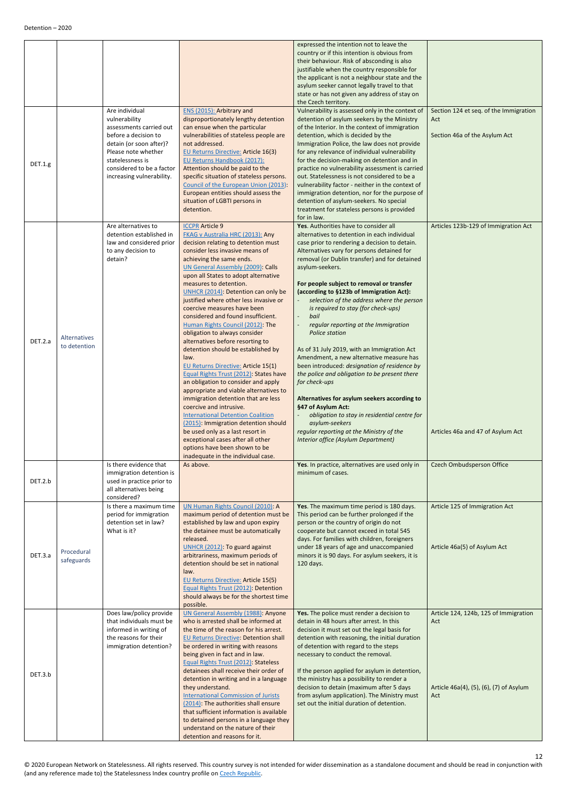<span id="page-11-1"></span><span id="page-11-0"></span>

| DET.1.g |                              | Are individual<br>vulnerability<br>assessments carried out<br>before a decision to<br>detain (or soon after)?<br>Please note whether<br>statelessness is<br>considered to be a factor<br>increasing vulnerability. | ENS (2015): Arbitrary and<br>disproportionately lengthy detention<br>can ensue when the particular<br>vulnerabilities of stateless people are<br>not addressed.<br><b>EU Returns Directive: Article 16(3)</b><br>EU Returns Handbook (2017):<br>Attention should be paid to the<br>specific situation of stateless persons.<br>Council of the European Union (2013):<br>European entities should assess the<br>situation of LGBTI persons in<br>detention.                                                                                                                                                                                                                                                                                                                                                                                                                                                                                                                                                                                                                        | expressed the intention not to leave the<br>country or if this intention is obvious from<br>their behaviour. Risk of absconding is also<br>justifiable when the country responsible for<br>the applicant is not a neighbour state and the<br>asylum seeker cannot legally travel to that<br>state or has not given any address of stay on<br>the Czech territory.<br>Vulnerability is assessed only in the context of<br>detention of asylum seekers by the Ministry<br>of the Interior. In the context of immigration<br>detention, which is decided by the<br>Immigration Police, the law does not provide<br>for any relevance of individual vulnerability<br>for the decision-making on detention and in<br>practice no vulnerability assessment is carried<br>out. Statelessness is not considered to be a<br>vulnerability factor - neither in the context of<br>immigration detention, nor for the purpose of<br>detention of asylum-seekers. No special<br>treatment for stateless persons is provided | Section 124 et seq. of the Immigration<br>Act<br>Section 46a of the Asylum Act                 |
|---------|------------------------------|--------------------------------------------------------------------------------------------------------------------------------------------------------------------------------------------------------------------|-----------------------------------------------------------------------------------------------------------------------------------------------------------------------------------------------------------------------------------------------------------------------------------------------------------------------------------------------------------------------------------------------------------------------------------------------------------------------------------------------------------------------------------------------------------------------------------------------------------------------------------------------------------------------------------------------------------------------------------------------------------------------------------------------------------------------------------------------------------------------------------------------------------------------------------------------------------------------------------------------------------------------------------------------------------------------------------|----------------------------------------------------------------------------------------------------------------------------------------------------------------------------------------------------------------------------------------------------------------------------------------------------------------------------------------------------------------------------------------------------------------------------------------------------------------------------------------------------------------------------------------------------------------------------------------------------------------------------------------------------------------------------------------------------------------------------------------------------------------------------------------------------------------------------------------------------------------------------------------------------------------------------------------------------------------------------------------------------------------|------------------------------------------------------------------------------------------------|
| DET.2.a | Alternatives<br>to detention | Are alternatives to<br>detention established in<br>law and considered prior<br>to any decision to<br>detain?                                                                                                       | <b>ICCPR Article 9</b><br><b>FKAG v Australia HRC (2013): Any</b><br>decision relating to detention must<br>consider less invasive means of<br>achieving the same ends.<br><b>UN General Assembly (2009): Calls</b><br>upon all States to adopt alternative<br>measures to detention.<br>UNHCR (2014): Detention can only be<br>justified where other less invasive or<br>coercive measures have been<br>considered and found insufficient.<br>Human Rights Council (2012): The<br>obligation to always consider<br>alternatives before resorting to<br>detention should be established by<br>law.<br><b>EU Returns Directive: Article 15(1)</b><br>Equal Rights Trust (2012): States have<br>an obligation to consider and apply<br>appropriate and viable alternatives to<br>immigration detention that are less<br>coercive and intrusive.<br><b>International Detention Coalition</b><br>(2015): Immigration detention should<br>be used only as a last resort in<br>exceptional cases after all other<br>options have been shown to be<br>inadequate in the individual case. | for in law.<br>Yes. Authorities have to consider all<br>alternatives to detention in each individual<br>case prior to rendering a decision to detain.<br>Alternatives vary for persons detained for<br>removal (or Dublin transfer) and for detained<br>asylum-seekers.<br>For people subject to removal or transfer<br>(according to §123b of Immigration Act):<br>selection of the address where the person<br>is required to stay (for check-ups)<br>bail<br>regular reporting at the Immigration<br>Police station<br>As of 31 July 2019, with an Immigration Act<br>Amendment, a new alternative measure has<br>been introduced: designation of residence by<br>the police and obligation to be present there<br>for check-ups<br>Alternatives for asylum seekers according to<br>§47 of Asylum Act:<br>obligation to stay in residential centre for<br>asylum-seekers<br>regular reporting at the Ministry of the<br>Interior office (Asylum Department)                                                 | Articles 123b-129 of Immigration Act<br>Articles 46a and 47 of Asylum Act                      |
| DET.2.b |                              | Is there evidence that<br>immigration detention is<br>used in practice prior to<br>all alternatives being<br>considered?                                                                                           | As above.                                                                                                                                                                                                                                                                                                                                                                                                                                                                                                                                                                                                                                                                                                                                                                                                                                                                                                                                                                                                                                                                         | Yes. In practice, alternatives are used only in<br>minimum of cases.                                                                                                                                                                                                                                                                                                                                                                                                                                                                                                                                                                                                                                                                                                                                                                                                                                                                                                                                           | Czech Ombudsperson Office                                                                      |
| DET.3.a | Procedural<br>safeguards     | Is there a maximum time<br>period for immigration<br>detention set in law?<br>What is it?                                                                                                                          | UN Human Rights Council (2010): A<br>maximum period of detention must be<br>established by law and upon expiry<br>the detainee must be automatically<br>released.<br>UNHCR (2012): To guard against<br>arbitrariness, maximum periods of<br>detention should be set in national<br>law.<br><b>EU Returns Directive: Article 15(5)</b><br>Equal Rights Trust (2012): Detention<br>should always be for the shortest time<br>possible.                                                                                                                                                                                                                                                                                                                                                                                                                                                                                                                                                                                                                                              | Yes. The maximum time period is 180 days.<br>This period can be further prolonged if the<br>person or the country of origin do not<br>cooperate but cannot exceed in total 545<br>days. For families with children, foreigners<br>under 18 years of age and unaccompanied<br>minors it is 90 days. For asylum seekers, it is<br>120 days.                                                                                                                                                                                                                                                                                                                                                                                                                                                                                                                                                                                                                                                                      | Article 125 of Immigration Act<br>Article 46a(5) of Asylum Act                                 |
| DET.3.b |                              | Does law/policy provide<br>that individuals must be<br>informed in writing of<br>the reasons for their<br>immigration detention?                                                                                   | <b>UN General Assembly (1988): Anyone</b><br>who is arrested shall be informed at<br>the time of the reason for his arrest.<br><b>EU Returns Directive: Detention shall</b><br>be ordered in writing with reasons<br>being given in fact and in law.<br>Equal Rights Trust (2012): Stateless<br>detainees shall receive their order of<br>detention in writing and in a language<br>they understand.<br><b>International Commission of Jurists</b><br>(2014): The authorities shall ensure<br>that sufficient information is available<br>to detained persons in a language they<br>understand on the nature of their<br>detention and reasons for it.                                                                                                                                                                                                                                                                                                                                                                                                                            | Yes. The police must render a decision to<br>detain in 48 hours after arrest. In this<br>decision it must set out the legal basis for<br>detention with reasoning, the initial duration<br>of detention with regard to the steps<br>necessary to conduct the removal.<br>If the person applied for asylum in detention,<br>the ministry has a possibility to render a<br>decision to detain (maximum after 5 days<br>from asylum application). The Ministry must<br>set out the initial duration of detention.                                                                                                                                                                                                                                                                                                                                                                                                                                                                                                 | Article 124, 124b, 125 of Immigration<br>Act<br>Article 46a(4), (5), (6), (7) of Asylum<br>Act |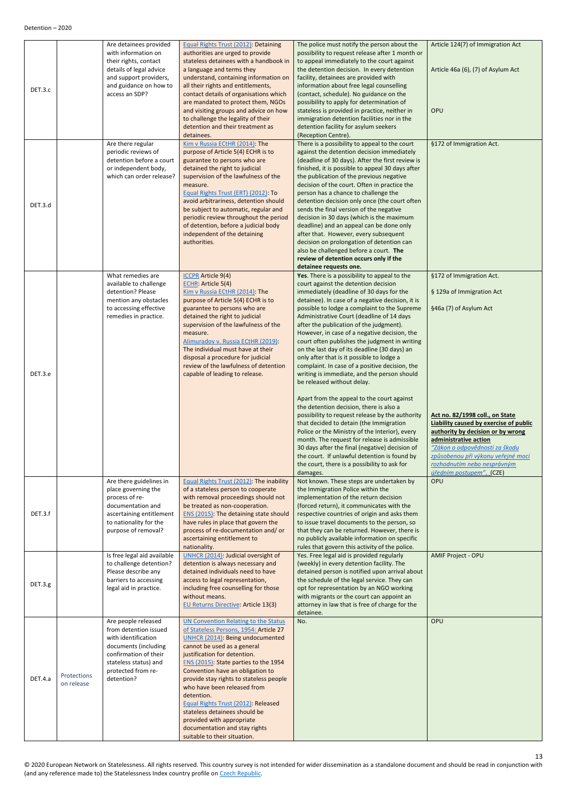<span id="page-12-0"></span>

| DET.3.c |                           | Are detainees provided<br>with information on<br>their rights, contact<br>details of legal advice<br>and support providers,<br>and guidance on how to<br>access an SDP?           | Equal Rights Trust (2012): Detaining<br>authorities are urged to provide<br>stateless detainees with a handbook in<br>a language and terms they<br>understand, containing information on<br>all their rights and entitlements,<br>contact details of organisations which<br>are mandated to protect them, NGOs<br>and visiting groups and advice on how<br>to challenge the legality of their<br>detention and their treatment as<br>detainees.                                                                                     | The police must notify the person about the<br>possibility to request release after 1 month or<br>to appeal immediately to the court against<br>the detention decision. In every detention<br>facility, detainees are provided with<br>information about free legal counselling<br>(contact, schedule). No guidance on the<br>possibility to apply for determination of<br>stateless is provided in practice, neither in<br>immigration detention facilities nor in the<br>detention facility for asylum seekers<br>(Reception Centre).                                                                                                                                                                                                                                                               | Article 124(7) of Immigration Act<br>Article 46a (6), (7) of Asylum Act<br>OPU                                                                                                                                                          |
|---------|---------------------------|-----------------------------------------------------------------------------------------------------------------------------------------------------------------------------------|-------------------------------------------------------------------------------------------------------------------------------------------------------------------------------------------------------------------------------------------------------------------------------------------------------------------------------------------------------------------------------------------------------------------------------------------------------------------------------------------------------------------------------------|-------------------------------------------------------------------------------------------------------------------------------------------------------------------------------------------------------------------------------------------------------------------------------------------------------------------------------------------------------------------------------------------------------------------------------------------------------------------------------------------------------------------------------------------------------------------------------------------------------------------------------------------------------------------------------------------------------------------------------------------------------------------------------------------------------|-----------------------------------------------------------------------------------------------------------------------------------------------------------------------------------------------------------------------------------------|
| DET.3.d |                           | Are there regular<br>periodic reviews of<br>detention before a court<br>or independent body,<br>which can order release?                                                          | Kim v Russia ECtHR (2014): The<br>purpose of Article 5(4) ECHR is to<br>guarantee to persons who are<br>detained the right to judicial<br>supervision of the lawfulness of the<br>measure.<br>Equal Rights Trust (ERT) (2012): To<br>avoid arbitrariness, detention should<br>be subject to automatic, regular and<br>periodic review throughout the period<br>of detention, before a judicial body<br>independent of the detaining<br>authorities.                                                                                 | There is a possibility to appeal to the court<br>against the detention decision immediately<br>(deadline of 30 days). After the first review is<br>finished, it is possible to appeal 30 days after<br>the publication of the previous negative<br>decision of the court. Often in practice the<br>person has a chance to challenge the<br>detention decision only once (the court often<br>sends the final version of the negative<br>decision in 30 days (which is the maximum<br>deadline) and an appeal can be done only<br>after that. However, every subsequent<br>decision on prolongation of detention can<br>also be challenged before a court. The<br>review of detention occurs only if the<br>detainee requests one.                                                                      | §172 of Immigration Act.                                                                                                                                                                                                                |
| DET.3.e |                           | What remedies are<br>available to challenge<br>detention? Please<br>mention any obstacles<br>to accessing effective<br>remedies in practice.                                      | <b>ICCPR</b> Article 9(4)<br><b>ECHR: Article 5(4)</b><br>Kim v Russia ECtHR (2014): The<br>purpose of Article 5(4) ECHR is to<br>guarantee to persons who are<br>detained the right to judicial<br>supervision of the lawfulness of the<br>measure.<br>Alimuradov v. Russia ECtHR (2019):<br>The individual must have at their<br>disposal a procedure for judicial<br>review of the lawfulness of detention<br>capable of leading to release.                                                                                     | Yes. There is a possibility to appeal to the<br>court against the detention decision<br>immediately (deadline of 30 days for the<br>detainee). In case of a negative decision, it is<br>possible to lodge a complaint to the Supreme<br>Administrative Court (deadline of 14 days<br>after the publication of the judgment).<br>However, in case of a negative decision, the<br>court often publishes the judgment in writing<br>on the last day of its deadline (30 days) an<br>only after that is it possible to lodge a<br>complaint. In case of a positive decision, the<br>writing is immediate, and the person should<br>be released without delay.<br>Apart from the appeal to the court against<br>the detention decision, there is also a<br>possibility to request release by the authority | §172 of Immigration Act.<br>§ 129a of Immigration Act<br>§46a (7) of Asylum Act<br>Act no. 82/1998 coll., on State                                                                                                                      |
|         |                           |                                                                                                                                                                                   |                                                                                                                                                                                                                                                                                                                                                                                                                                                                                                                                     | that decided to detain (the Immigration<br>Police or the Ministry of the Interior), every<br>month. The request for release is admissible<br>30 days after the final (negative) decision of<br>the court. If unlawful detention is found by<br>the court, there is a possibility to ask for<br>damages.                                                                                                                                                                                                                                                                                                                                                                                                                                                                                               | Liability caused by exercise of public<br>authority by decision or by wrong<br>administrative action<br>"Zákon o odpovědnosti za škodu<br>způsobenou při výkonu veřejné moci<br>rozhodnutím nebo nesprávným<br>úředním postupem", (CZE) |
| DET.3.f |                           | Are there guidelines in<br>place governing the<br>process of re-<br>documentation and<br>ascertaining entitlement<br>to nationality for the<br>purpose of removal?                | Equal Rights Trust (2012): The inability<br>of a stateless person to cooperate<br>with removal proceedings should not<br>be treated as non-cooperation.<br>ENS (2015): The detaining state should<br>have rules in place that govern the<br>process of re-documentation and/or<br>ascertaining entitlement to<br>nationality.                                                                                                                                                                                                       | Not known. These steps are undertaken by<br>the Immigration Police within the<br>implementation of the return decision<br>(forced return), it communicates with the<br>respective countries of origin and asks them<br>to issue travel documents to the person, so<br>that they can be returned. However, there is<br>no publicly available information on specific<br>rules that govern this activity of the police.                                                                                                                                                                                                                                                                                                                                                                                 | OPU                                                                                                                                                                                                                                     |
| DET.3.g |                           | Is free legal aid available<br>to challenge detention?<br>Please describe any<br>barriers to accessing<br>legal aid in practice.                                                  | UNHCR (2014): Judicial oversight of<br>detention is always necessary and<br>detained individuals need to have<br>access to legal representation,<br>including free counselling for those<br>without means.<br><b>EU Returns Directive: Article 13(3)</b>                                                                                                                                                                                                                                                                            | Yes. Free legal aid is provided regularly<br>(weekly) in every detention facility. The<br>detained person is notified upon arrival about<br>the schedule of the legal service. They can<br>opt for representation by an NGO working<br>with migrants or the court can appoint an<br>attorney in law that is free of charge for the<br>detainee.                                                                                                                                                                                                                                                                                                                                                                                                                                                       | <b>AMIF Project - OPU</b>                                                                                                                                                                                                               |
| DET.4.a | Protections<br>on release | Are people released<br>from detention issued<br>with identification<br>documents (including<br>confirmation of their<br>stateless status) and<br>protected from re-<br>detention? | <b>UN Convention Relating to the Status</b><br>of Stateless Persons, 1954: Article 27<br>UNHCR (2014): Being undocumented<br>cannot be used as a general<br>justification for detention.<br>ENS (2015): State parties to the 1954<br>Convention have an obligation to<br>provide stay rights to stateless people<br>who have been released from<br>detention.<br>Equal Rights Trust (2012): Released<br>stateless detainees should be<br>provided with appropriate<br>documentation and stay rights<br>suitable to their situation. | No.                                                                                                                                                                                                                                                                                                                                                                                                                                                                                                                                                                                                                                                                                                                                                                                                   | OPU                                                                                                                                                                                                                                     |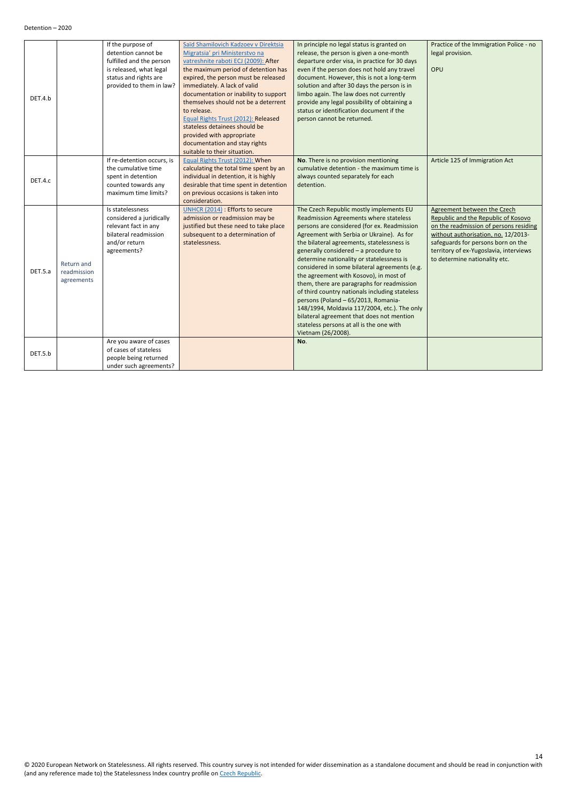<span id="page-13-0"></span>

|         |             | If the purpose of          | Saïd Shamilovich Kadzoev v Direktsia   | In principle no legal status is granted on     | Practice of the Immigration Police - no |
|---------|-------------|----------------------------|----------------------------------------|------------------------------------------------|-----------------------------------------|
|         |             | detention cannot be        | Migratsia' pri Ministerstvo na         | release, the person is given a one-month       | legal provision.                        |
|         |             | fulfilled and the person   | vatreshnite raboti ECJ (2009): After   | departure order visa, in practice for 30 days  |                                         |
|         |             | is released, what legal    | the maximum period of detention has    | even if the person does not hold any travel    | OPU                                     |
|         |             | status and rights are      | expired, the person must be released   | document. However, this is not a long-term     |                                         |
|         |             | provided to them in law?   | immediately. A lack of valid           | solution and after 30 days the person is in    |                                         |
| DET.4.b |             |                            | documentation or inability to support  | limbo again. The law does not currently        |                                         |
|         |             |                            | themselves should not be a deterrent   | provide any legal possibility of obtaining a   |                                         |
|         |             |                            | to release.                            | status or identification document if the       |                                         |
|         |             |                            | Equal Rights Trust (2012): Released    | person cannot be returned.                     |                                         |
|         |             |                            | stateless detainees should be          |                                                |                                         |
|         |             |                            | provided with appropriate              |                                                |                                         |
|         |             |                            | documentation and stay rights          |                                                |                                         |
|         |             |                            | suitable to their situation.           |                                                |                                         |
|         |             | If re-detention occurs, is | Equal Rights Trust (2012): When        | No. There is no provision mentioning           | Article 125 of Immigration Act          |
|         |             | the cumulative time        | calculating the total time spent by an | cumulative detention - the maximum time is     |                                         |
| DET.4.c |             | spent in detention         | individual in detention, it is highly  | always counted separately for each             |                                         |
|         |             | counted towards any        | desirable that time spent in detention | detention.                                     |                                         |
|         |             | maximum time limits?       | on previous occasions is taken into    |                                                |                                         |
|         |             |                            | consideration.                         |                                                |                                         |
|         |             | Is statelessness           | UNHCR (2014) : Efforts to secure       | The Czech Republic mostly implements EU        | Agreement between the Czech             |
|         |             | considered a juridically   | admission or readmission may be        | Readmission Agreements where stateless         | Republic and the Republic of Kosovo     |
|         |             | relevant fact in any       | justified but these need to take place | persons are considered (for ex. Readmission    | on the readmission of persons residing  |
|         |             | bilateral readmission      | subsequent to a determination of       | Agreement with Serbia or Ukraine). As for      | without authorisation, no. 12/2013-     |
|         |             | and/or return              | statelessness.                         | the bilateral agreements, statelessness is     | safeguards for persons born on the      |
|         |             | agreements?                |                                        | generally considered - a procedure to          | territory of ex-Yugoslavia, interviews  |
|         | Return and  |                            |                                        | determine nationality or statelessness is      | to determine nationality etc.           |
| DET.5.a | readmission |                            |                                        | considered in some bilateral agreements (e.g.  |                                         |
|         | agreements  |                            |                                        | the agreement with Kosovo), in most of         |                                         |
|         |             |                            |                                        | them, there are paragraphs for readmission     |                                         |
|         |             |                            |                                        | of third country nationals including stateless |                                         |
|         |             |                            |                                        | persons (Poland - 65/2013, Romania-            |                                         |
|         |             |                            |                                        | 148/1994, Moldavia 117/2004, etc.). The only   |                                         |
|         |             |                            |                                        | bilateral agreement that does not mention      |                                         |
|         |             |                            |                                        | stateless persons at all is the one with       |                                         |
|         |             |                            |                                        | Vietnam (26/2008).                             |                                         |
|         |             | Are you aware of cases     |                                        | No.                                            |                                         |
| DET.5.b |             | of cases of stateless      |                                        |                                                |                                         |
|         |             | people being returned      |                                        |                                                |                                         |
|         |             | under such agreements?     |                                        |                                                |                                         |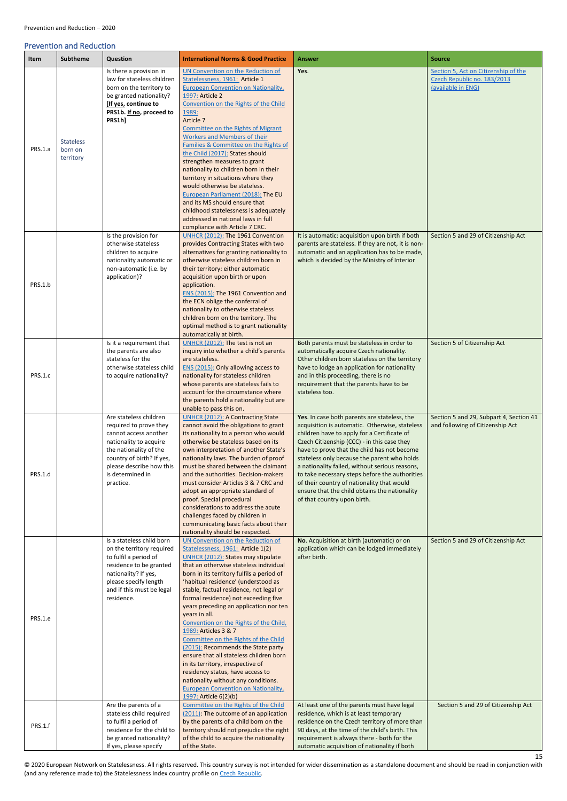15

### <span id="page-14-0"></span>Prevention and Reduction

<span id="page-14-1"></span>

| Item    | <b>Subtheme</b>                          | Question                                                                                                                                                                                                                | <b>International Norms &amp; Good Practice</b>                                                                                                                                                                                                                                                                                                                                                                                                                                                                                                                                                                                                                                                                                                                                    | Answer                                                                                                                                                                                                                                                                                                                                                                                                                                                                                                                       | <b>Source</b>                                                                             |
|---------|------------------------------------------|-------------------------------------------------------------------------------------------------------------------------------------------------------------------------------------------------------------------------|-----------------------------------------------------------------------------------------------------------------------------------------------------------------------------------------------------------------------------------------------------------------------------------------------------------------------------------------------------------------------------------------------------------------------------------------------------------------------------------------------------------------------------------------------------------------------------------------------------------------------------------------------------------------------------------------------------------------------------------------------------------------------------------|------------------------------------------------------------------------------------------------------------------------------------------------------------------------------------------------------------------------------------------------------------------------------------------------------------------------------------------------------------------------------------------------------------------------------------------------------------------------------------------------------------------------------|-------------------------------------------------------------------------------------------|
| PRS.1.a | <b>Stateless</b><br>born on<br>territory | Is there a provision in<br>law for stateless children<br>born on the territory to<br>be granted nationality?<br>[If yes, continue to<br>PRS1b. If no, proceed to<br>PRS1h]                                              | UN Convention on the Reduction of<br>Statelessness, 1961: Article 1<br><b>European Convention on Nationality</b> ,<br>1997: Article 2<br>Convention on the Rights of the Child<br>1989:<br>Article 7<br>Committee on the Rights of Migrant<br>Workers and Members of their<br>Families & Committee on the Rights of<br>the Child (2017): States should<br>strengthen measures to grant                                                                                                                                                                                                                                                                                                                                                                                            | Yes.                                                                                                                                                                                                                                                                                                                                                                                                                                                                                                                         | Section 5, Act on Citizenship of the<br>Czech Republic no. 183/2013<br>(available in ENG) |
|         |                                          | Is the provision for                                                                                                                                                                                                    | nationality to children born in their<br>territory in situations where they<br>would otherwise be stateless.<br>European Parliament (2018): The EU<br>and its MS should ensure that<br>childhood statelessness is adequately<br>addressed in national laws in full<br>compliance with Article 7 CRC.<br>UNHCR (2012): The 1961 Convention                                                                                                                                                                                                                                                                                                                                                                                                                                         | It is automatic: acquisition upon birth if both                                                                                                                                                                                                                                                                                                                                                                                                                                                                              | Section 5 and 29 of Citizenship Act                                                       |
| PRS.1.b |                                          | otherwise stateless<br>children to acquire<br>nationality automatic or<br>non-automatic (i.e. by<br>application)?                                                                                                       | provides Contracting States with two<br>alternatives for granting nationality to<br>otherwise stateless children born in<br>their territory: either automatic<br>acquisition upon birth or upon<br>application.<br>ENS (2015): The 1961 Convention and<br>the ECN oblige the conferral of<br>nationality to otherwise stateless<br>children born on the territory. The<br>optimal method is to grant nationality<br>automatically at birth.                                                                                                                                                                                                                                                                                                                                       | parents are stateless. If they are not, it is non-<br>automatic and an application has to be made,<br>which is decided by the Ministry of Interior                                                                                                                                                                                                                                                                                                                                                                           |                                                                                           |
| PRS.1.c |                                          | Is it a requirement that<br>the parents are also<br>stateless for the<br>otherwise stateless child<br>to acquire nationality?                                                                                           | UNHCR (2012): The test is not an<br>inquiry into whether a child's parents<br>are stateless.<br>ENS (2015): Only allowing access to<br>nationality for stateless children<br>whose parents are stateless fails to<br>account for the circumstance where<br>the parents hold a nationality but are<br>unable to pass this on.                                                                                                                                                                                                                                                                                                                                                                                                                                                      | Both parents must be stateless in order to<br>automatically acquire Czech nationality.<br>Other children born stateless on the territory<br>have to lodge an application for nationality<br>and in this proceeding, there is no<br>requirement that the parents have to be<br>stateless too.                                                                                                                                                                                                                                 | Section 5 of Citizenship Act                                                              |
| PRS.1.d |                                          | Are stateless children<br>required to prove they<br>cannot access another<br>nationality to acquire<br>the nationality of the<br>country of birth? If yes,<br>please describe how this<br>is determined in<br>practice. | <b>UNHCR (2012): A Contracting State</b><br>cannot avoid the obligations to grant<br>its nationality to a person who would<br>otherwise be stateless based on its<br>own interpretation of another State's<br>nationality laws. The burden of proof<br>must be shared between the claimant<br>and the authorities. Decision-makers<br>must consider Articles 3 & 7 CRC and<br>adopt an appropriate standard of<br>proof. Special procedural<br>considerations to address the acute<br>challenges faced by children in<br>communicating basic facts about their<br>nationality should be respected.                                                                                                                                                                                | Yes. In case both parents are stateless, the<br>acquisition is automatic. Otherwise, stateless<br>children have to apply for a Certificate of<br>Czech Citizenship (CCC) - in this case they<br>have to prove that the child has not become<br>stateless only because the parent who holds<br>a nationality failed, without serious reasons,<br>to take necessary steps before the authorities<br>of their country of nationality that would<br>ensure that the child obtains the nationality<br>of that country upon birth. | Section 5 and 29, Subpart 4, Section 41<br>and following of Citizenship Act               |
| PRS.1.e |                                          | Is a stateless child born<br>on the territory required<br>to fulfil a period of<br>residence to be granted<br>nationality? If yes,<br>please specify length<br>and if this must be legal<br>residence.                  | UN Convention on the Reduction of<br>Statelessness, 1961: Article 1(2)<br><b>UNHCR (2012): States may stipulate</b><br>that an otherwise stateless individual<br>born in its territory fulfils a period of<br>'habitual residence' (understood as<br>stable, factual residence, not legal or<br>formal residence) not exceeding five<br>years preceding an application nor ten<br>years in all.<br>Convention on the Rights of the Child,<br>1989: Articles 3 & 7<br>Committee on the Rights of the Child<br>(2015): Recommends the State party<br>ensure that all stateless children born<br>in its territory, irrespective of<br>residency status, have access to<br>nationality without any conditions.<br><b>European Convention on Nationality,</b><br>1997: Article 6(2)(b) | No. Acquisition at birth (automatic) or on<br>application which can be lodged immediately<br>after birth.<br>At least one of the parents must have legal                                                                                                                                                                                                                                                                                                                                                                     | Section 5 and 29 of Citizenship Act                                                       |
| PRS.1.f |                                          | Are the parents of a<br>stateless child required<br>to fulfil a period of<br>residence for the child to<br>be granted nationality?<br>If yes, please specify                                                            | Committee on the Rights of the Child<br>(2011): The outcome of an application<br>by the parents of a child born on the<br>territory should not prejudice the right<br>of the child to acquire the nationality<br>of the State.                                                                                                                                                                                                                                                                                                                                                                                                                                                                                                                                                    | residence, which is at least temporary<br>residence on the Czech territory of more than<br>90 days, at the time of the child's birth. This<br>requirement is always there - both for the<br>automatic acquisition of nationality if both                                                                                                                                                                                                                                                                                     | Section 5 and 29 of Citizenship Act                                                       |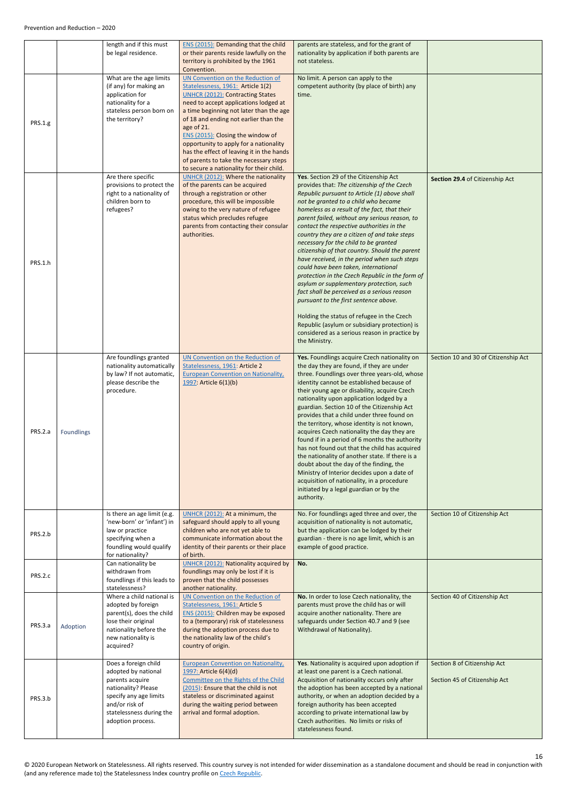<span id="page-15-1"></span><span id="page-15-0"></span>

|                |            | length and if this must<br>be legal residence.                                                                                                                                     | ENS (2015): Demanding that the child<br>or their parents reside lawfully on the<br>territory is prohibited by the 1961<br>Convention.                                                                                                                                                                                                                                                                                                                                          | parents are stateless, and for the grant of<br>nationality by application if both parents are<br>not stateless.                                                                                                                                                                                                                                                                                                                                                                                                                                                                                                                                                                                                                                                                                                                                                                                                        |                                                               |
|----------------|------------|------------------------------------------------------------------------------------------------------------------------------------------------------------------------------------|--------------------------------------------------------------------------------------------------------------------------------------------------------------------------------------------------------------------------------------------------------------------------------------------------------------------------------------------------------------------------------------------------------------------------------------------------------------------------------|------------------------------------------------------------------------------------------------------------------------------------------------------------------------------------------------------------------------------------------------------------------------------------------------------------------------------------------------------------------------------------------------------------------------------------------------------------------------------------------------------------------------------------------------------------------------------------------------------------------------------------------------------------------------------------------------------------------------------------------------------------------------------------------------------------------------------------------------------------------------------------------------------------------------|---------------------------------------------------------------|
| <b>PRS.1.g</b> |            | What are the age limits<br>(if any) for making an<br>application for<br>nationality for a<br>stateless person born on<br>the territory?                                            | UN Convention on the Reduction of<br>Statelessness, 1961: Article 1(2)<br><b>UNHCR (2012): Contracting States</b><br>need to accept applications lodged at<br>a time beginning not later than the age<br>of 18 and ending not earlier than the<br>age of 21.<br>ENS (2015): Closing the window of<br>opportunity to apply for a nationality<br>has the effect of leaving it in the hands<br>of parents to take the necessary steps<br>to secure a nationality for their child. | No limit. A person can apply to the<br>competent authority (by place of birth) any<br>time.                                                                                                                                                                                                                                                                                                                                                                                                                                                                                                                                                                                                                                                                                                                                                                                                                            |                                                               |
| PRS.1.h        |            | Are there specific<br>provisions to protect the<br>right to a nationality of<br>children born to<br>refugees?                                                                      | <b>UNHCR (2012): Where the nationality</b><br>of the parents can be acquired<br>through a registration or other<br>procedure, this will be impossible<br>owing to the very nature of refugee<br>status which precludes refugee<br>parents from contacting their consular<br>authorities.                                                                                                                                                                                       | Yes. Section 29 of the Citizenship Act<br>provides that: The citizenship of the Czech<br>Republic pursuant to Article (1) above shall<br>not be granted to a child who became<br>homeless as a result of the fact, that their<br>parent failed, without any serious reason, to<br>contact the respective authorities in the<br>country they are a citizen of and take steps<br>necessary for the child to be granted<br>citizenship of that country. Should the parent<br>have received, in the period when such steps<br>could have been taken, international<br>protection in the Czech Republic in the form of<br>asylum or supplementary protection, such<br>fact shall be perceived as a serious reason<br>pursuant to the first sentence above.<br>Holding the status of refugee in the Czech<br>Republic (asylum or subsidiary protection) is<br>considered as a serious reason in practice by<br>the Ministry. | Section 29.4 of Citizenship Act                               |
| PRS.2.a        | Foundlings | Are foundlings granted<br>nationality automatically<br>by law? If not automatic,<br>please describe the<br>procedure.                                                              | UN Convention on the Reduction of<br>Statelessness, 1961: Article 2<br><b>European Convention on Nationality,</b><br>1997: Article 6(1)(b)                                                                                                                                                                                                                                                                                                                                     | Yes. Foundlings acquire Czech nationality on<br>the day they are found, if they are under<br>three. Foundlings over three years-old, whose<br>identity cannot be established because of<br>their young age or disability, acquire Czech<br>nationality upon application lodged by a<br>guardian. Section 10 of the Citizenship Act<br>provides that a child under three found on<br>the territory, whose identity is not known,<br>acquires Czech nationality the day they are<br>found if in a period of 6 months the authority<br>has not found out that the child has acquired<br>the nationality of another state. If there is a<br>doubt about the day of the finding, the<br>Ministry of Interior decides upon a date of<br>acquisition of nationality, in a procedure<br>initiated by a legal guardian or by the<br>authority.                                                                                  | Section 10 and 30 of Citizenship Act                          |
| PRS.2.b        |            | Is there an age limit (e.g.<br>'new-born' or 'infant') in<br>law or practice<br>specifying when a<br>foundling would qualify<br>for nationality?                                   | UNHCR (2012): At a minimum, the<br>safeguard should apply to all young<br>children who are not yet able to<br>communicate information about the<br>identity of their parents or their place<br>of birth.                                                                                                                                                                                                                                                                       | No. For foundlings aged three and over, the<br>acquisition of nationality is not automatic,<br>but the application can be lodged by their<br>guardian - there is no age limit, which is an<br>example of good practice.                                                                                                                                                                                                                                                                                                                                                                                                                                                                                                                                                                                                                                                                                                | Section 10 of Citizenship Act                                 |
| PRS.2.c        |            | Can nationality be<br>withdrawn from<br>foundlings if this leads to<br>statelessness?                                                                                              | <b>UNHCR (2012): Nationality acquired by</b><br>foundlings may only be lost if it is<br>proven that the child possesses<br>another nationality.                                                                                                                                                                                                                                                                                                                                | No.                                                                                                                                                                                                                                                                                                                                                                                                                                                                                                                                                                                                                                                                                                                                                                                                                                                                                                                    |                                                               |
| PRS.3.a        | Adoption   | Where a child national is<br>adopted by foreign<br>parent(s), does the child<br>lose their original<br>nationality before the<br>new nationality is<br>acquired?                   | UN Convention on the Reduction of<br>Statelessness, 1961: Article 5<br>ENS (2015): Children may be exposed<br>to a (temporary) risk of statelessness<br>during the adoption process due to<br>the nationality law of the child's<br>country of origin.                                                                                                                                                                                                                         | No. In order to lose Czech nationality, the<br>parents must prove the child has or will<br>acquire another nationality. There are<br>safeguards under Section 40.7 and 9 (see<br>Withdrawal of Nationality).                                                                                                                                                                                                                                                                                                                                                                                                                                                                                                                                                                                                                                                                                                           | Section 40 of Citizenship Act                                 |
| PRS.3.b        |            | Does a foreign child<br>adopted by national<br>parents acquire<br>nationality? Please<br>specify any age limits<br>and/or risk of<br>statelessness during the<br>adoption process. | <b>European Convention on Nationality,</b><br>1997: Article 6(4)(d)<br>Committee on the Rights of the Child<br>(2015): Ensure that the child is not<br>stateless or discriminated against<br>during the waiting period between<br>arrival and formal adoption.                                                                                                                                                                                                                 | Yes. Nationality is acquired upon adoption if<br>at least one parent is a Czech national.<br>Acquisition of nationality occurs only after<br>the adoption has been accepted by a national<br>authority, or when an adoption decided by a<br>foreign authority has been accepted<br>according to private international law by<br>Czech authorities. No limits or risks of<br>statelessness found.                                                                                                                                                                                                                                                                                                                                                                                                                                                                                                                       | Section 8 of Citizenship Act<br>Section 45 of Citizenship Act |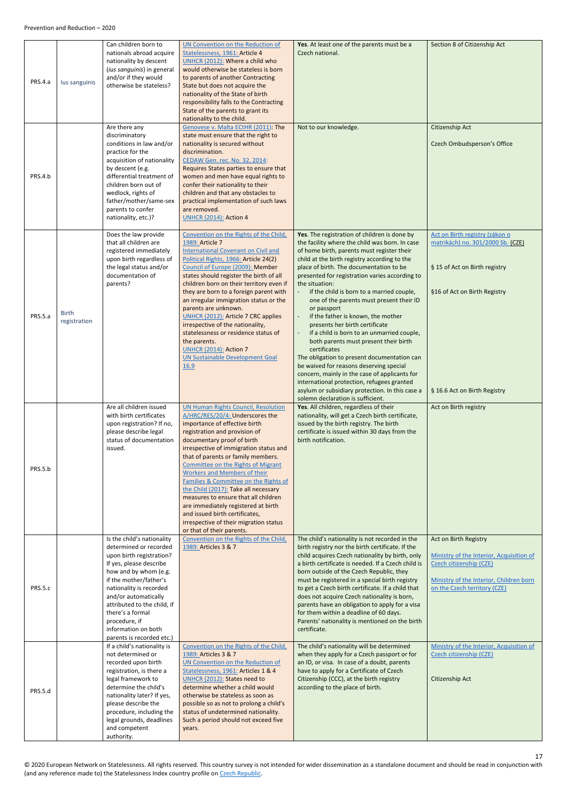<span id="page-16-1"></span><span id="page-16-0"></span>

| PRS.4.a | lus sanguinis                | Can children born to<br>nationals abroad acquire<br>nationality by descent<br>(ius sanguinis) in general<br>and/or if they would<br>otherwise be stateless?                                                                                                                                                                               | UN Convention on the Reduction of<br>Statelessness, 1961: Article 4<br>UNHCR (2012): Where a child who<br>would otherwise be stateless is born<br>to parents of another Contracting<br>State but does not acquire the<br>nationality of the State of birth<br>responsibility falls to the Contracting<br>State of the parents to grant its<br>nationality to the child.                                                                                                                                                                                                                                              | Yes. At least one of the parents must be a<br>Czech national.                                                                                                                                                                                                                                                                                                                                                                                                                                                                                                                                                                                                                                                                                                                                                                                                                       | Section 8 of Citizenship Act                                                                                                                                            |
|---------|------------------------------|-------------------------------------------------------------------------------------------------------------------------------------------------------------------------------------------------------------------------------------------------------------------------------------------------------------------------------------------|----------------------------------------------------------------------------------------------------------------------------------------------------------------------------------------------------------------------------------------------------------------------------------------------------------------------------------------------------------------------------------------------------------------------------------------------------------------------------------------------------------------------------------------------------------------------------------------------------------------------|-------------------------------------------------------------------------------------------------------------------------------------------------------------------------------------------------------------------------------------------------------------------------------------------------------------------------------------------------------------------------------------------------------------------------------------------------------------------------------------------------------------------------------------------------------------------------------------------------------------------------------------------------------------------------------------------------------------------------------------------------------------------------------------------------------------------------------------------------------------------------------------|-------------------------------------------------------------------------------------------------------------------------------------------------------------------------|
| PRS.4.b |                              | Are there any<br>discriminatory<br>conditions in law and/or<br>practice for the<br>acquisition of nationality<br>by descent (e.g.<br>differential treatment of<br>children born out of<br>wedlock, rights of<br>father/mother/same-sex<br>parents to confer<br>nationality, etc.)?                                                        | Genovese v. Malta ECtHR (2011): The<br>state must ensure that the right to<br>nationality is secured without<br>discrimination.<br>CEDAW Gen. rec. No. 32, 2014:<br>Requires States parties to ensure that<br>women and men have equal rights to<br>confer their nationality to their<br>children and that any obstacles to<br>practical implementation of such laws<br>are removed.<br><b>UNHCR (2014): Action 4</b>                                                                                                                                                                                                | Not to our knowledge.                                                                                                                                                                                                                                                                                                                                                                                                                                                                                                                                                                                                                                                                                                                                                                                                                                                               | Citizenship Act<br>Czech Ombudsperson's Office                                                                                                                          |
| PRS.5.a | <b>Birth</b><br>registration | Does the law provide<br>that all children are<br>registered immediately<br>upon birth regardless of<br>the legal status and/or<br>documentation of<br>parents?                                                                                                                                                                            | Convention on the Rights of the Child,<br>1989: Article 7<br><b>International Covenant on Civil and</b><br>Political Rights, 1966: Article 24(2)<br>Council of Europe (2009): Member<br>states should register the birth of all<br>children born on their territory even if<br>they are born to a foreign parent with<br>an irregular immigration status or the<br>parents are unknown.<br><b>UNHCR (2012): Article 7 CRC applies</b><br>irrespective of the nationality,<br>statelessness or residence status of<br>the parents.<br><b>UNHCR (2014): Action 7</b><br><b>UN Sustainable Development Goal</b><br>16.9 | Yes. The registration of children is done by<br>the facility where the child was born. In case<br>of home birth, parents must register their<br>child at the birth registry according to the<br>place of birth. The documentation to be<br>presented for registration varies according to<br>the situation:<br>if the child is born to a married couple,<br>one of the parents must present their ID<br>or passport<br>if the father is known, the mother<br>presents her birth certificate<br>if a child is born to an unmarried couple,<br>both parents must present their birth<br>certificates<br>The obligation to present documentation can<br>be waived for reasons deserving special<br>concern, mainly in the case of applicants for<br>international protection, refugees granted<br>asylum or subsidiary protection. In this case a<br>solemn declaration is sufficient. | Act on Birth registry (zákon o<br>matrikách) no. 301/2000 Sb. (CZE)<br>§ 15 of Act on Birth registry<br>§16 of Act on Birth Registry<br>§ 16.6 Act on Birth Registry    |
| PRS.5.b |                              | Are all children issued<br>with birth certificates<br>upon registration? If no,<br>please describe legal<br>status of documentation<br>issued.                                                                                                                                                                                            | <b>UN Human Rights Council, Resolution</b><br>A/HRC/RES/20/4: Underscores the<br>importance of effective birth<br>registration and provision of<br>documentary proof of birth<br>irrespective of immigration status and<br>that of parents or family members.<br>Committee on the Rights of Migrant<br><b>Workers and Members of their</b><br>Families & Committee on the Rights of<br>the Child (2017): Take all necessary<br>measures to ensure that all children<br>are immediately registered at birth<br>and issued birth certificates,<br>irrespective of their migration status<br>or that of their parents.  | Yes. All children, regardless of their<br>nationality, will get a Czech birth certificate,<br>issued by the birth registry. The birth<br>certificate is issued within 30 days from the<br>birth notification.                                                                                                                                                                                                                                                                                                                                                                                                                                                                                                                                                                                                                                                                       | Act on Birth registry                                                                                                                                                   |
| PRS.5.c |                              | Is the child's nationality<br>determined or recorded<br>upon birth registration?<br>If yes, please describe<br>how and by whom (e.g.<br>if the mother/father's<br>nationality is recorded<br>and/or automatically<br>attributed to the child, if<br>there's a formal<br>procedure, if<br>information on both<br>parents is recorded etc.) | Convention on the Rights of the Child,<br>1989: Articles 3 & 7                                                                                                                                                                                                                                                                                                                                                                                                                                                                                                                                                       | The child's nationality is not recorded in the<br>birth registry nor the birth certificate. If the<br>child acquires Czech nationality by birth, only<br>a birth certificate is needed. If a Czech child is<br>born outside of the Czech Republic, they<br>must be registered in a special birth registry<br>to get a Czech birth certificate. If a child that<br>does not acquire Czech nationality is born,<br>parents have an obligation to apply for a visa<br>for them within a deadline of 60 days.<br>Parents' nationality is mentioned on the birth<br>certificate.                                                                                                                                                                                                                                                                                                         | Act on Birth Registry<br>Ministry of the Interior, Acquisition of<br>Czech citizenship (CZE)<br>Ministry of the Interior, Children born<br>on the Czech territory (CZE) |
| PRS.5.d |                              | If a child's nationality is<br>not determined or<br>recorded upon birth<br>registration, is there a<br>legal framework to<br>determine the child's<br>nationality later? If yes,<br>please describe the<br>procedure, including the<br>legal grounds, deadlines<br>and competent<br>authority.                                            | Convention on the Rights of the Child,<br>1989: Articles 3 & 7<br>UN Convention on the Reduction of<br>Statelessness, 1961: Articles 1 & 4<br>UNHCR (2012): States need to<br>determine whether a child would<br>otherwise be stateless as soon as<br>possible so as not to prolong a child's<br>status of undetermined nationality.<br>Such a period should not exceed five<br>years.                                                                                                                                                                                                                               | The child's nationality will be determined<br>when they apply for a Czech passport or for<br>an ID, or visa. In case of a doubt, parents<br>have to apply for a Certificate of Czech<br>Citizenship (CCC), at the birth registry<br>according to the place of birth.                                                                                                                                                                                                                                                                                                                                                                                                                                                                                                                                                                                                                | Ministry of the Interior, Acquisition of<br>Czech citizenship (CZE)<br>Citizenship Act                                                                                  |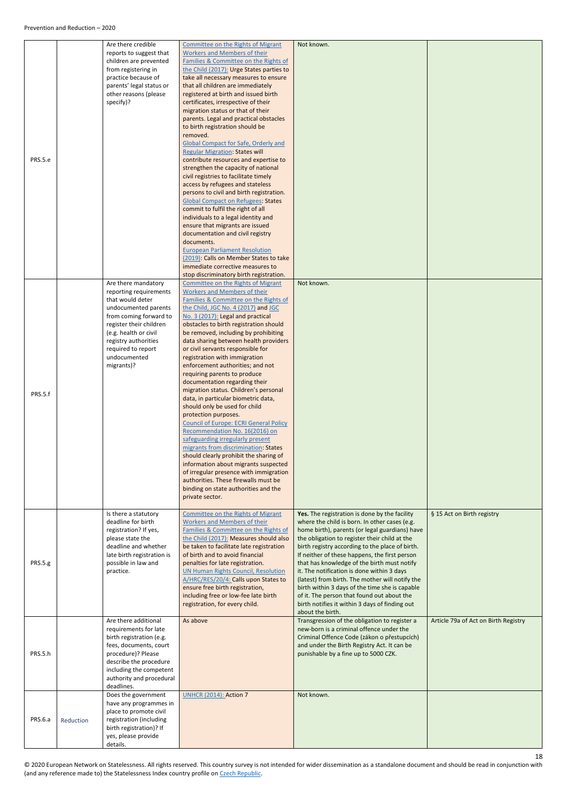<span id="page-17-0"></span>

|                |           | Are there credible                                 | <b>Committee on the Rights of Migrant</b>                                             | Not known.                                                                                       |                                      |
|----------------|-----------|----------------------------------------------------|---------------------------------------------------------------------------------------|--------------------------------------------------------------------------------------------------|--------------------------------------|
|                |           | reports to suggest that                            | <b>Workers and Members of their</b>                                                   |                                                                                                  |                                      |
|                |           | children are prevented                             | Families & Committee on the Rights of                                                 |                                                                                                  |                                      |
|                |           | from registering in<br>practice because of         | the Child (2017): Urge States parties to<br>take all necessary measures to ensure     |                                                                                                  |                                      |
|                |           | parents' legal status or                           | that all children are immediately                                                     |                                                                                                  |                                      |
|                |           | other reasons (please                              | registered at birth and issued birth                                                  |                                                                                                  |                                      |
|                |           | specify)?                                          | certificates, irrespective of their                                                   |                                                                                                  |                                      |
|                |           |                                                    | migration status or that of their<br>parents. Legal and practical obstacles           |                                                                                                  |                                      |
|                |           |                                                    | to birth registration should be                                                       |                                                                                                  |                                      |
|                |           |                                                    | removed.                                                                              |                                                                                                  |                                      |
|                |           |                                                    | <b>Global Compact for Safe, Orderly and</b>                                           |                                                                                                  |                                      |
| PRS.5.e        |           |                                                    | <b>Regular Migration: States will</b><br>contribute resources and expertise to        |                                                                                                  |                                      |
|                |           |                                                    | strengthen the capacity of national                                                   |                                                                                                  |                                      |
|                |           |                                                    | civil registries to facilitate timely                                                 |                                                                                                  |                                      |
|                |           |                                                    | access by refugees and stateless                                                      |                                                                                                  |                                      |
|                |           |                                                    | persons to civil and birth registration.<br><b>Global Compact on Refugees: States</b> |                                                                                                  |                                      |
|                |           |                                                    | commit to fulfil the right of all                                                     |                                                                                                  |                                      |
|                |           |                                                    | individuals to a legal identity and                                                   |                                                                                                  |                                      |
|                |           |                                                    | ensure that migrants are issued                                                       |                                                                                                  |                                      |
|                |           |                                                    | documentation and civil registry                                                      |                                                                                                  |                                      |
|                |           |                                                    | documents.<br><b>European Parliament Resolution</b>                                   |                                                                                                  |                                      |
|                |           |                                                    | (2019): Calls on Member States to take                                                |                                                                                                  |                                      |
|                |           |                                                    | immediate corrective measures to                                                      |                                                                                                  |                                      |
|                |           |                                                    | stop discriminatory birth registration.                                               |                                                                                                  |                                      |
|                |           | Are there mandatory<br>reporting requirements      | Committee on the Rights of Migrant<br><b>Workers and Members of their</b>             | Not known.                                                                                       |                                      |
|                |           | that would deter                                   | Families & Committee on the Rights of                                                 |                                                                                                  |                                      |
|                |           | undocumented parents                               | the Child, JGC No. 4 (2017) and JGC                                                   |                                                                                                  |                                      |
|                |           | from coming forward to                             | No. 3 (2017): Legal and practical                                                     |                                                                                                  |                                      |
|                |           | register their children<br>(e.g. health or civil   | obstacles to birth registration should                                                |                                                                                                  |                                      |
|                |           | registry authorities                               | be removed, including by prohibiting<br>data sharing between health providers         |                                                                                                  |                                      |
|                |           | required to report                                 | or civil servants responsible for                                                     |                                                                                                  |                                      |
|                |           | undocumented                                       | registration with immigration                                                         |                                                                                                  |                                      |
|                |           | migrants)?                                         | enforcement authorities; and not                                                      |                                                                                                  |                                      |
|                |           |                                                    | requiring parents to produce<br>documentation regarding their                         |                                                                                                  |                                      |
|                |           |                                                    | migration status. Children's personal                                                 |                                                                                                  |                                      |
| PRS.5.f        |           |                                                    | data, in particular biometric data,                                                   |                                                                                                  |                                      |
|                |           |                                                    | should only be used for child                                                         |                                                                                                  |                                      |
|                |           |                                                    | protection purposes.                                                                  |                                                                                                  |                                      |
|                |           |                                                    | <b>Council of Europe: ECRI General Policy</b><br>Recommendation No. 16(2016) on       |                                                                                                  |                                      |
|                |           |                                                    | safeguarding irregularly present                                                      |                                                                                                  |                                      |
|                |           |                                                    | migrants from discrimination: States                                                  |                                                                                                  |                                      |
|                |           |                                                    | should clearly prohibit the sharing of                                                |                                                                                                  |                                      |
|                |           |                                                    | information about migrants suspected<br>of irregular presence with immigration        |                                                                                                  |                                      |
|                |           |                                                    | authorities. These firewalls must be                                                  |                                                                                                  |                                      |
|                |           |                                                    | binding on state authorities and the                                                  |                                                                                                  |                                      |
|                |           |                                                    | private sector.                                                                       |                                                                                                  |                                      |
|                |           | Is there a statutory                               | Committee on the Rights of Migrant                                                    | Yes. The registration is done by the facility                                                    | § 15 Act on Birth registry           |
|                |           | deadline for birth                                 | <b>Workers and Members of their</b>                                                   | where the child is born. In other cases (e.g.                                                    |                                      |
|                |           | registration? If yes,                              | Families & Committee on the Rights of                                                 | home birth), parents (or legal guardians) have                                                   |                                      |
|                |           | please state the                                   | the Child (2017): Measures should also                                                | the obligation to register their child at the                                                    |                                      |
|                |           | deadline and whether<br>late birth registration is | be taken to facilitate late registration<br>of birth and to avoid financial           | birth registry according to the place of birth.<br>If neither of these happens, the first person |                                      |
| PRS.5.g        |           | possible in law and                                | penalties for late registration.                                                      | that has knowledge of the birth must notify                                                      |                                      |
|                |           | practice.                                          | <b>UN Human Rights Council, Resolution</b>                                            | it. The notification is done within 3 days                                                       |                                      |
|                |           |                                                    | A/HRC/RES/20/4: Calls upon States to                                                  | (latest) from birth. The mother will notify the                                                  |                                      |
|                |           |                                                    | ensure free birth registration,                                                       | birth within 3 days of the time she is capable                                                   |                                      |
|                |           |                                                    | including free or low-fee late birth<br>registration, for every child.                | of it. The person that found out about the<br>birth notifies it within 3 days of finding out     |                                      |
|                |           |                                                    |                                                                                       | about the birth.                                                                                 |                                      |
|                |           | Are there additional                               | As above                                                                              | Transgression of the obligation to register a                                                    | Article 79a of Act on Birth Registry |
|                |           | requirements for late                              |                                                                                       | new-born is a criminal offence under the                                                         |                                      |
|                |           | birth registration (e.g.<br>fees, documents, court |                                                                                       | Criminal Offence Code (zákon o přestupcích)<br>and under the Birth Registry Act. It can be       |                                      |
| PRS.5.h        |           | procedure)? Please                                 |                                                                                       | punishable by a fine up to 5000 CZK.                                                             |                                      |
|                |           | describe the procedure                             |                                                                                       |                                                                                                  |                                      |
|                |           | including the competent                            |                                                                                       |                                                                                                  |                                      |
|                |           | authority and procedural<br>deadlines.             |                                                                                       |                                                                                                  |                                      |
|                |           | Does the government                                | <b>UNHCR (2014): Action 7</b>                                                         | Not known.                                                                                       |                                      |
|                |           | have any programmes in                             |                                                                                       |                                                                                                  |                                      |
|                |           | place to promote civil                             |                                                                                       |                                                                                                  |                                      |
| <b>PRS.6.a</b> | Reduction | registration (including                            |                                                                                       |                                                                                                  |                                      |
|                |           | birth registration)? If<br>yes, please provide     |                                                                                       |                                                                                                  |                                      |
|                |           | details.                                           |                                                                                       |                                                                                                  |                                      |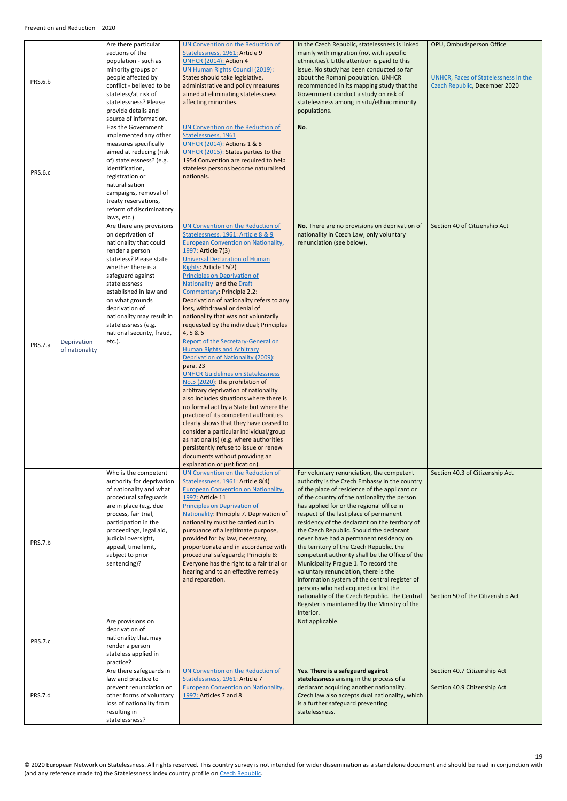<span id="page-18-0"></span>

| PRS.6.b |                               | Are there particular<br>sections of the<br>population - such as<br>minority groups or<br>people affected by<br>conflict - believed to be<br>stateless/at risk of<br>statelessness? Please<br>provide details and<br>source of information.                                                                                                  | UN Convention on the Reduction of<br>Statelessness, 1961: Article 9<br><b>UNHCR (2014): Action 4</b><br>UN Human Rights Council (2019):<br>States should take legislative,<br>administrative and policy measures<br>aimed at eliminating statelessness<br>affecting minorities.                                                                                                                                                                                                                                                                                                                                                                                                                                                                                                                                                                                                                                                                                                                                                                                                                                                        | In the Czech Republic, statelessness is linked<br>mainly with migration (not with specific<br>ethnicities). Little attention is paid to this<br>issue. No study has been conducted so far<br>about the Romani population. UNHCR<br>recommended in its mapping study that the<br>Government conduct a study on risk of<br>statelessness among in situ/ethnic minority<br>populations.                                                                                                                                                                                                                                                                                                                                                                                                                               | OPU, Ombudsperson Office<br><b>UNHCR, Faces of Statelessness in the</b><br>Czech Republic, December 2020 |
|---------|-------------------------------|---------------------------------------------------------------------------------------------------------------------------------------------------------------------------------------------------------------------------------------------------------------------------------------------------------------------------------------------|----------------------------------------------------------------------------------------------------------------------------------------------------------------------------------------------------------------------------------------------------------------------------------------------------------------------------------------------------------------------------------------------------------------------------------------------------------------------------------------------------------------------------------------------------------------------------------------------------------------------------------------------------------------------------------------------------------------------------------------------------------------------------------------------------------------------------------------------------------------------------------------------------------------------------------------------------------------------------------------------------------------------------------------------------------------------------------------------------------------------------------------|--------------------------------------------------------------------------------------------------------------------------------------------------------------------------------------------------------------------------------------------------------------------------------------------------------------------------------------------------------------------------------------------------------------------------------------------------------------------------------------------------------------------------------------------------------------------------------------------------------------------------------------------------------------------------------------------------------------------------------------------------------------------------------------------------------------------|----------------------------------------------------------------------------------------------------------|
| PRS.6.c |                               | Has the Government<br>implemented any other<br>measures specifically<br>aimed at reducing (risk<br>of) statelessness? (e.g.<br>identification,<br>registration or<br>naturalisation<br>campaigns, removal of<br>treaty reservations,<br>reform of discriminatory<br>laws, etc.)                                                             | UN Convention on the Reduction of<br>Statelessness, 1961<br><b>UNHCR (2014): Actions 1 &amp; 8</b><br>UNHCR (2015): States parties to the<br>1954 Convention are required to help<br>stateless persons become naturalised<br>nationals.                                                                                                                                                                                                                                                                                                                                                                                                                                                                                                                                                                                                                                                                                                                                                                                                                                                                                                | No.                                                                                                                                                                                                                                                                                                                                                                                                                                                                                                                                                                                                                                                                                                                                                                                                                |                                                                                                          |
| PRS.7.a | Deprivation<br>of nationality | Are there any provisions<br>on deprivation of<br>nationality that could<br>render a person<br>stateless? Please state<br>whether there is a<br>safeguard against<br>statelessness<br>established in law and<br>on what grounds<br>deprivation of<br>nationality may result in<br>statelessness (e.g.<br>national security, fraud,<br>etc.). | UN Convention on the Reduction of<br>Statelessness, 1961: Article 8 & 9<br><b>European Convention on Nationality</b> ,<br>1997: Article 7(3)<br><b>Universal Declaration of Human</b><br>Rights: Article 15(2)<br><b>Principles on Deprivation of</b><br><b>Nationality and the Draft</b><br><b>Commentary: Principle 2.2:</b><br>Deprivation of nationality refers to any<br>loss, withdrawal or denial of<br>nationality that was not voluntarily<br>requested by the individual; Principles<br>4,5 & 6<br>Report of the Secretary-General on<br><b>Human Rights and Arbitrary</b><br>Deprivation of Nationality (2009):<br>para. 23<br><b>UNHCR Guidelines on Statelessness</b><br>No.5 (2020): the prohibition of<br>arbitrary deprivation of nationality<br>also includes situations where there is<br>no formal act by a State but where the<br>practice of its competent authorities<br>clearly shows that they have ceased to<br>consider a particular individual/group<br>as national(s) (e.g. where authorities<br>persistently refuse to issue or renew<br>documents without providing an<br>explanation or justification). | No. There are no provisions on deprivation of<br>nationality in Czech Law, only voluntary<br>renunciation (see below).                                                                                                                                                                                                                                                                                                                                                                                                                                                                                                                                                                                                                                                                                             | Section 40 of Citizenship Act                                                                            |
| PRS.7.b |                               | Who is the competent<br>authority for deprivation<br>of nationality and what<br>procedural safeguards<br>are in place (e.g. due<br>process, fair trial,<br>participation in the<br>proceedings, legal aid,<br>judicial oversight,<br>appeal, time limit,<br>subject to prior<br>sentencing)?                                                | UN Convention on the Reduction of<br>Statelessness, 1961: Article 8(4)<br><b>European Convention on Nationality,</b><br>1997: Article 11<br><b>Principles on Deprivation of</b><br>Nationality: Principle 7. Deprivation of<br>nationality must be carried out in<br>pursuance of a legitimate purpose,<br>provided for by law, necessary,<br>proportionate and in accordance with<br>procedural safeguards; Principle 8:<br>Everyone has the right to a fair trial or<br>hearing and to an effective remedy<br>and reparation.                                                                                                                                                                                                                                                                                                                                                                                                                                                                                                                                                                                                        | For voluntary renunciation, the competent<br>authority is the Czech Embassy in the country<br>of the place of residence of the applicant or<br>of the country of the nationality the person<br>has applied for or the regional office in<br>respect of the last place of permanent<br>residency of the declarant on the territory of<br>the Czech Republic. Should the declarant<br>never have had a permanent residency on<br>the territory of the Czech Republic, the<br>competent authority shall be the Office of the<br>Municipality Prague 1. To record the<br>voluntary renunciation, there is the<br>information system of the central register of<br>persons who had acquired or lost the<br>nationality of the Czech Republic. The Central<br>Register is maintained by the Ministry of the<br>Interior. | Section 40.3 of Citizenship Act<br>Section 50 of the Citizenship Act                                     |
| PRS.7.c |                               | Are provisions on<br>deprivation of<br>nationality that may<br>render a person<br>stateless applied in<br>practice?                                                                                                                                                                                                                         |                                                                                                                                                                                                                                                                                                                                                                                                                                                                                                                                                                                                                                                                                                                                                                                                                                                                                                                                                                                                                                                                                                                                        | Not applicable.                                                                                                                                                                                                                                                                                                                                                                                                                                                                                                                                                                                                                                                                                                                                                                                                    |                                                                                                          |
| PRS.7.d |                               | Are there safeguards in<br>law and practice to<br>prevent renunciation or<br>other forms of voluntary<br>loss of nationality from<br>resulting in<br>statelessness?                                                                                                                                                                         | UN Convention on the Reduction of<br>Statelessness, 1961: Article 7<br><b>European Convention on Nationality,</b><br>1997: Articles 7 and 8                                                                                                                                                                                                                                                                                                                                                                                                                                                                                                                                                                                                                                                                                                                                                                                                                                                                                                                                                                                            | Yes. There is a safeguard against<br>statelessness arising in the process of a<br>declarant acquiring another nationality.<br>Czech law also accepts dual nationality, which<br>is a further safeguard preventing<br>statelessness.                                                                                                                                                                                                                                                                                                                                                                                                                                                                                                                                                                                | Section 40.7 Citizenship Act<br>Section 40.9 Citizenship Act                                             |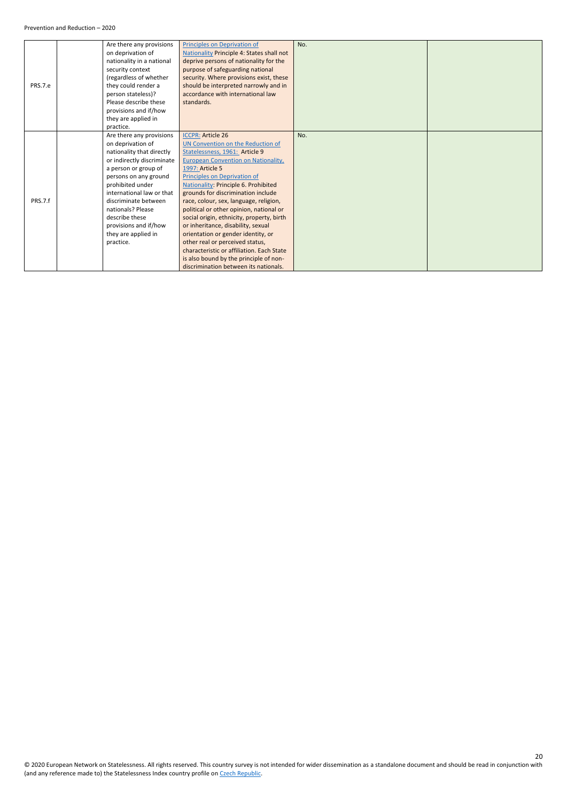|         | Are there any provisions   | Principles on Deprivation of                     | No. |  |
|---------|----------------------------|--------------------------------------------------|-----|--|
|         | on deprivation of          | <b>Nationality Principle 4: States shall not</b> |     |  |
|         | nationality in a national  | deprive persons of nationality for the           |     |  |
|         | security context           | purpose of safeguarding national                 |     |  |
|         | (regardless of whether     | security. Where provisions exist, these          |     |  |
| PRS.7.e | they could render a        | should be interpreted narrowly and in            |     |  |
|         | person stateless)?         | accordance with international law                |     |  |
|         | Please describe these      | standards.                                       |     |  |
|         | provisions and if/how      |                                                  |     |  |
|         | they are applied in        |                                                  |     |  |
|         | practice.                  |                                                  |     |  |
|         | Are there any provisions   | <b>ICCPR: Article 26</b>                         | No. |  |
|         | on deprivation of          | UN Convention on the Reduction of                |     |  |
|         | nationality that directly  | Statelessness, 1961: Article 9                   |     |  |
|         | or indirectly discriminate | <b>European Convention on Nationality,</b>       |     |  |
|         | a person or group of       | 1997: Article 5                                  |     |  |
|         | persons on any ground      | Principles on Deprivation of                     |     |  |
|         | prohibited under           | Nationality: Principle 6. Prohibited             |     |  |
|         | international law or that  | grounds for discrimination include               |     |  |
| PRS.7.f | discriminate between       | race, colour, sex, language, religion,           |     |  |
|         | nationals? Please          | political or other opinion, national or          |     |  |
|         | describe these             | social origin, ethnicity, property, birth        |     |  |
|         | provisions and if/how      | or inheritance, disability, sexual               |     |  |
|         | they are applied in        | orientation or gender identity, or               |     |  |
|         | practice.                  | other real or perceived status,                  |     |  |
|         |                            | characteristic or affiliation. Each State        |     |  |
|         |                            | is also bound by the principle of non-           |     |  |
|         |                            | discrimination between its nationals.            |     |  |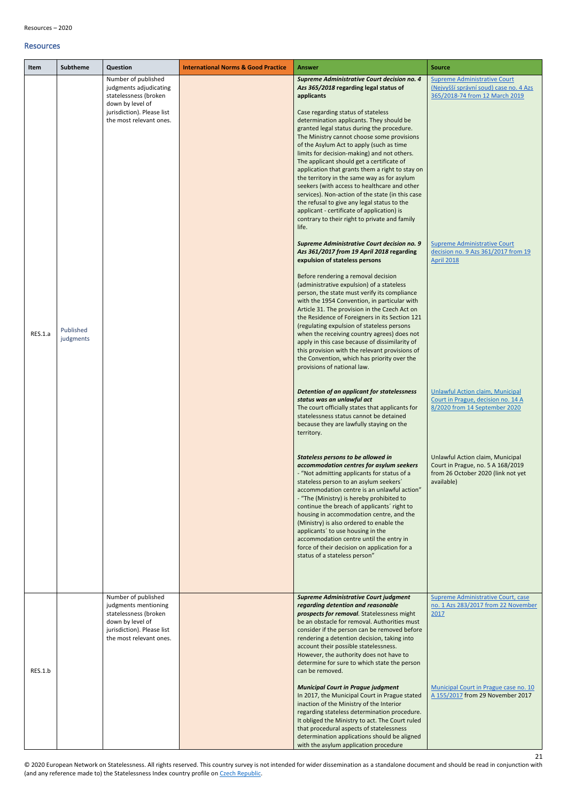21

#### <span id="page-20-0"></span>Resources

<span id="page-20-1"></span>

| <b>Subtheme</b><br>Item           | Question                                                                                                                                            | <b>International Norms &amp; Good Practice</b> | <b>Answer</b>                                                                                                                                                                                                                                                                                                                                                                                                                                                                                                                                                                                                                                                                                                                                                                                                                                                                                                                                                                                                                                                                                                                                                                                                                                                                                                                                                                                                                                                                                                                                                           | <b>Source</b>                                                                                                                                                                                                                                                                                                                |
|-----------------------------------|-----------------------------------------------------------------------------------------------------------------------------------------------------|------------------------------------------------|-------------------------------------------------------------------------------------------------------------------------------------------------------------------------------------------------------------------------------------------------------------------------------------------------------------------------------------------------------------------------------------------------------------------------------------------------------------------------------------------------------------------------------------------------------------------------------------------------------------------------------------------------------------------------------------------------------------------------------------------------------------------------------------------------------------------------------------------------------------------------------------------------------------------------------------------------------------------------------------------------------------------------------------------------------------------------------------------------------------------------------------------------------------------------------------------------------------------------------------------------------------------------------------------------------------------------------------------------------------------------------------------------------------------------------------------------------------------------------------------------------------------------------------------------------------------------|------------------------------------------------------------------------------------------------------------------------------------------------------------------------------------------------------------------------------------------------------------------------------------------------------------------------------|
| Published<br>RES.1.a<br>judgments | Number of published<br>judgments adjudicating<br>statelessness (broken<br>down by level of<br>jurisdiction). Please list<br>the most relevant ones. |                                                | Supreme Administrative Court decision no. 4<br>Azs 365/2018 regarding legal status of<br>applicants<br>Case regarding status of stateless<br>determination applicants. They should be<br>granted legal status during the procedure.<br>The Ministry cannot choose some provisions<br>of the Asylum Act to apply (such as time<br>limits for decision-making) and not others.<br>The applicant should get a certificate of<br>application that grants them a right to stay on<br>the territory in the same way as for asylum<br>seekers (with access to healthcare and other<br>services). Non-action of the state (in this case<br>the refusal to give any legal status to the<br>applicant - certificate of application) is<br>contrary to their right to private and family<br>life.<br>Supreme Administrative Court decision no. 9<br>Azs 361/2017 from 19 April 2018 regarding<br>expulsion of stateless persons<br>Before rendering a removal decision<br>(administrative expulsion) of a stateless<br>person, the state must verify its compliance<br>with the 1954 Convention, in particular with<br>Article 31. The provision in the Czech Act on<br>the Residence of Foreigners in its Section 121<br>(regulating expulsion of stateless persons<br>when the receiving country agrees) does not<br>apply in this case because of dissimilarity of<br>this provision with the relevant provisions of<br>the Convention, which has priority over the<br>provisions of national law.<br>Detention of an applicant for statelessness<br>status was an unlawful act | <b>Supreme Administrative Court</b><br>(Nejvyšší správní soud) case no. 4 Azs<br>365/2018-74 from 12 March 2019<br><b>Supreme Administrative Court</b><br>decision no. 9 Azs 361/2017 from 19<br><b>April 2018</b><br>Unlawful Action claim, Municipal<br>Court in Prague, decision no. 14 A                                 |
| RES.1.b                           | Number of published<br>judgments mentioning<br>statelessness (broken<br>down by level of<br>jurisdiction). Please list<br>the most relevant ones.   |                                                | The court officially states that applicants for<br>statelessness status cannot be detained<br>because they are lawfully staying on the<br>territory.<br>Stateless persons to be allowed in<br>accommodation centres for asylum seekers<br>- "Not admitting applicants for status of a<br>stateless person to an asylum seekers'<br>accommodation centre is an unlawful action"<br>- "The (Ministry) is hereby prohibited to<br>continue the breach of applicants' right to<br>housing in accommodation centre, and the<br>(Ministry) is also ordered to enable the<br>applicants' to use housing in the<br>accommodation centre until the entry in<br>force of their decision on application for a<br>status of a stateless person"<br><b>Supreme Administrative Court judgment</b><br>regarding detention and reasonable<br>prospects for removal. Statelessness might<br>be an obstacle for removal. Authorities must<br>consider if the person can be removed before<br>rendering a detention decision, taking into<br>account their possible statelessness.<br>However, the authority does not have to<br>determine for sure to which state the person<br>can be removed.<br><b>Municipal Court in Prague judgment</b><br>In 2017, the Municipal Court in Prague stated<br>inaction of the Ministry of the Interior<br>regarding stateless determination procedure.<br>It obliged the Ministry to act. The Court ruled<br>that procedural aspects of statelessness                                                                                                  | 8/2020 from 14 September 2020<br>Unlawful Action claim, Municipal<br>Court in Prague, no. 5 A 168/2019<br>from 26 October 2020 (link not yet<br>available)<br>Supreme Administrative Court, case<br>no. 1 Azs 283/2017 from 22 November<br>2017<br>Municipal Court in Prague case no. 10<br>A 155/2017 from 29 November 2017 |